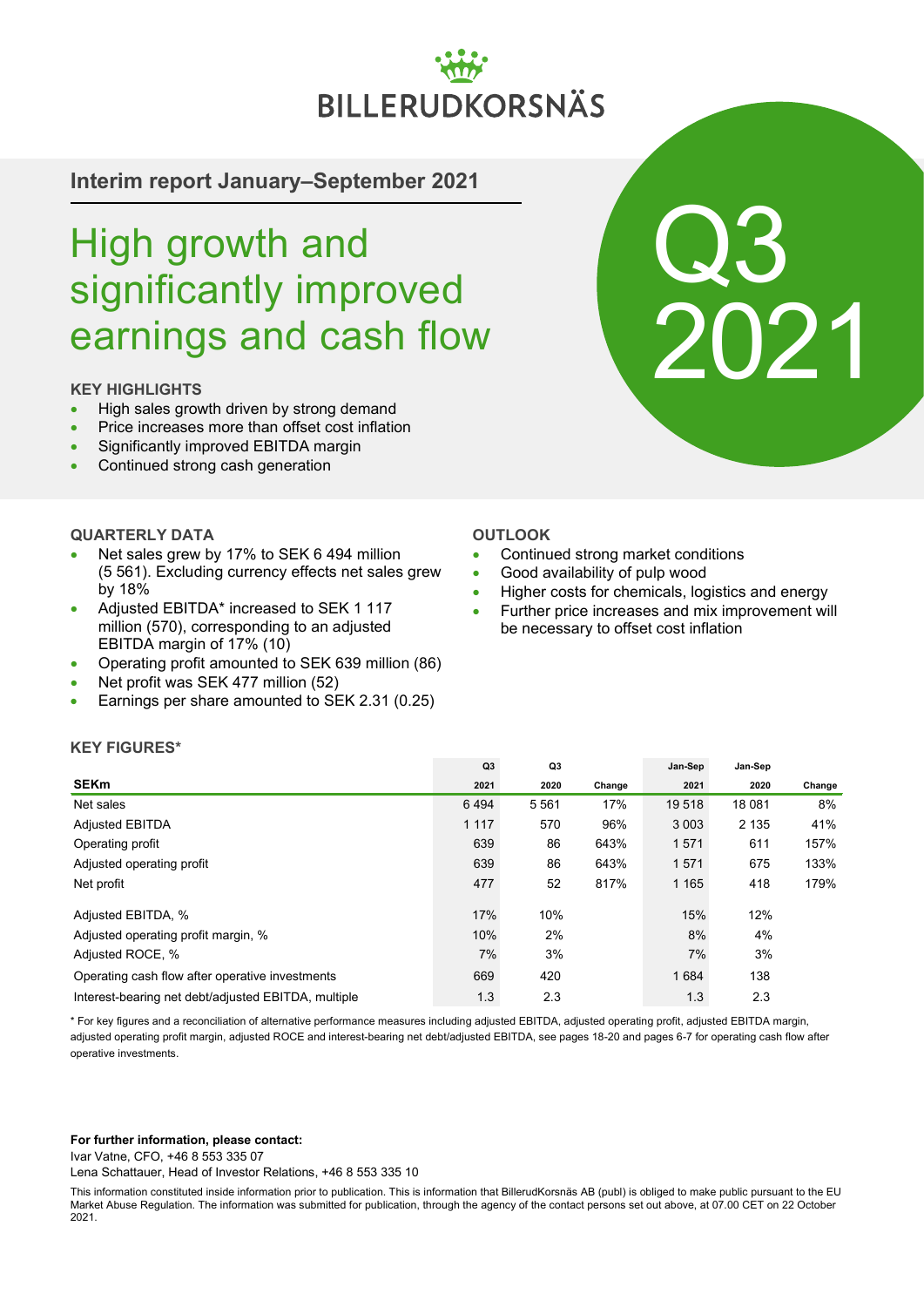# **BILLERUDKORSNÄS**

### **Interim report January–September 2021**

# High growth and significantly improved earnings and cash flow

### **KEY HIGHLIGHTS**

- High sales growth driven by strong demand
- Price increases more than offset cost inflation
- Significantly improved EBITDA margin
- Continued strong cash generation

### **QUARTERLY DATA**

- Net sales grew by 17% to SEK 6 494 million (5 561). Excluding currency effects net sales grew by 18%
- Adjusted EBITDA\* increased to SEK 1 117 million (570), corresponding to an adjusted EBITDA margin of 17% (10)
- Operating profit amounted to SEK 639 million (86)
- Net profit was SEK 477 million (52)
- Earnings per share amounted to SEK 2.31 (0.25)

# Q3 2021

### **OUTLOOK**

- Continued strong market conditions
- Good availability of pulp wood
- Higher costs for chemicals, logistics and energy
- Further price increases and mix improvement will be necessary to offset cost inflation

### **KEY FIGURES\***

|                                                     | Q <sub>3</sub> | Q <sub>3</sub> |        | Jan-Sep | Jan-Sep |        |
|-----------------------------------------------------|----------------|----------------|--------|---------|---------|--------|
| <b>SEKm</b>                                         | 2021           | 2020           | Change | 2021    | 2020    | Change |
| Net sales                                           | 6494           | 5 5 6 1        | 17%    | 19 518  | 18 081  | 8%     |
| <b>Adjusted EBITDA</b>                              | 1 1 1 7        | 570            | 96%    | 3 0 0 3 | 2 1 3 5 | 41%    |
| Operating profit                                    | 639            | 86             | 643%   | 1571    | 611     | 157%   |
| Adjusted operating profit                           | 639            | 86             | 643%   | 1571    | 675     | 133%   |
| Net profit                                          | 477            | 52             | 817%   | 1 1 6 5 | 418     | 179%   |
| Adjusted EBITDA, %                                  | 17%            | 10%            |        | 15%     | 12%     |        |
| Adjusted operating profit margin, %                 | 10%            | 2%             |        | 8%      | 4%      |        |
| Adjusted ROCE, %                                    | 7%             | 3%             |        | 7%      | 3%      |        |
| Operating cash flow after operative investments     | 669            | 420            |        | 1684    | 138     |        |
| Interest-bearing net debt/adjusted EBITDA, multiple | 1.3            | 2.3            |        | 1.3     | 2.3     |        |

\* For key figures and a reconciliation of alternative performance measures including adjusted EBITDA, adjusted operating profit, adjusted EBITDA margin, adjusted operating profit margin, adjusted ROCE and interest-bearing net debt/adjusted EBITDA, see pages 18-20 and pages 6-7 for operating cash flow after operative investments.

### **For further information, please contact:**

Ivar Vatne, CFO, +46 8 553 335 07

Lena Schattauer, Head of Investor Relations, +46 8 553 335 10

This information constituted inside information prior to publication. This is information that BillerudKorsnäs AB (publ) is obliged to make public pursuant to the EU Market Abuse Regulation. The information was submitted for publication, through the agency of the contact persons set out above, at 07.00 CET on 22 October 2021.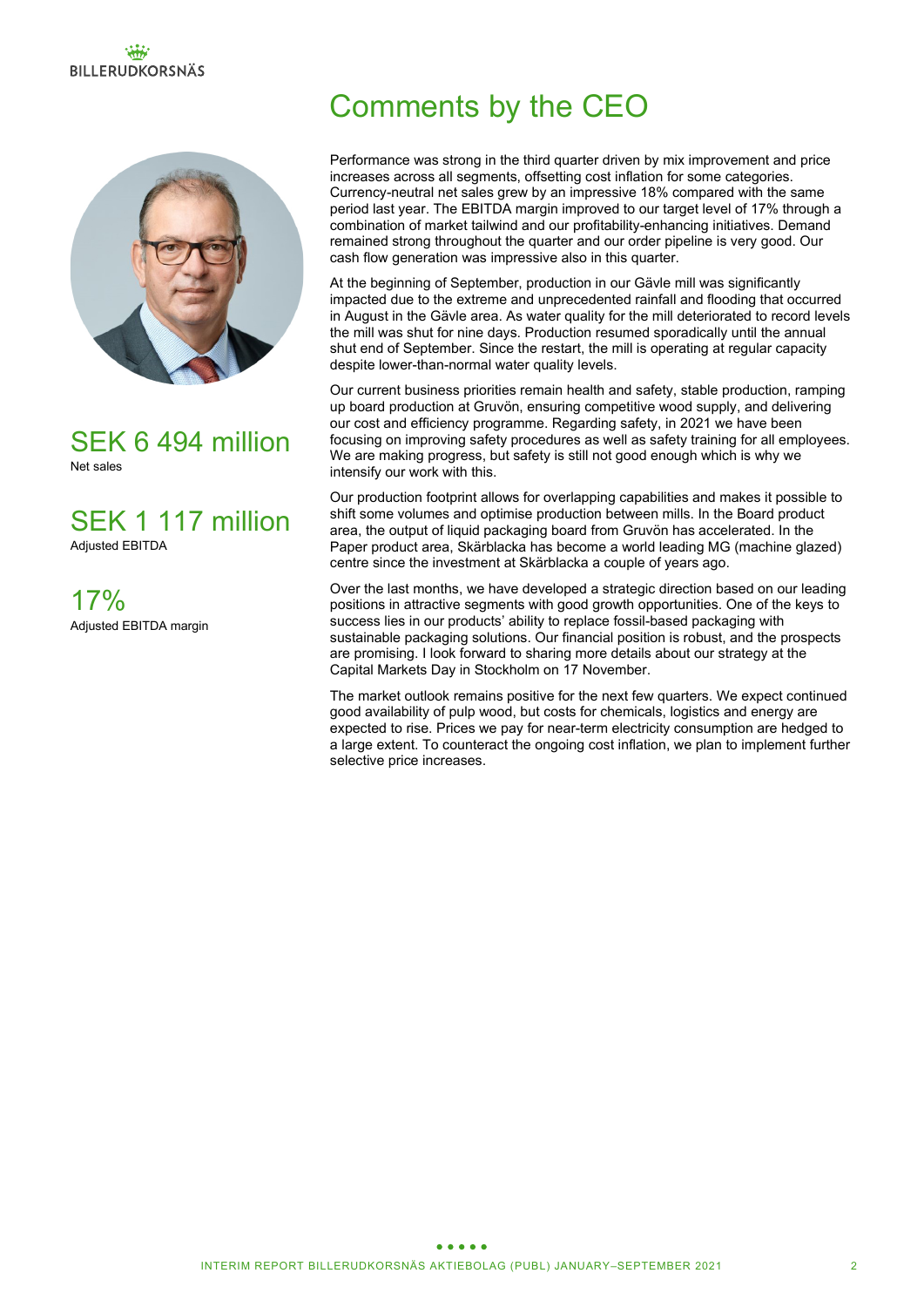# **BILLERUDKORSNÄS**



### SEK 6 494 million Net sales

SEK 1 117 million Adjusted EBITDA

17% Adjusted EBITDA margin

# Comments by the CEO

Performance was strong in the third quarter driven by mix improvement and price increases across all segments, offsetting cost inflation for some categories. Currency-neutral net sales grew by an impressive 18% compared with the same period last year. The EBITDA margin improved to our target level of 17% through a combination of market tailwind and our profitability-enhancing initiatives. Demand remained strong throughout the quarter and our order pipeline is very good. Our cash flow generation was impressive also in this quarter.

At the beginning of September, production in our Gäyle mill was significantly impacted due to the extreme and unprecedented rainfall and flooding that occurred in August in the Gävle area. As water quality for the mill deteriorated to record levels the mill was shut for nine days. Production resumed sporadically until the annual shut end of September. Since the restart, the mill is operating at regular capacity despite lower-than-normal water quality levels.

Our current business priorities remain health and safety, stable production, ramping up board production at Gruvön, ensuring competitive wood supply, and delivering our cost and efficiency programme. Regarding safety, in 2021 we have been focusing on improving safety procedures as well as safety training for all employees. We are making progress, but safety is still not good enough which is why we intensify our work with this.

Our production footprint allows for overlapping capabilities and makes it possible to shift some volumes and optimise production between mills. In the Board product area, the output of liquid packaging board from Gruvön has accelerated. In the Paper product area, Skärblacka has become a world leading MG (machine glazed) centre since the investment at Skärblacka a couple of years ago.

Over the last months, we have developed a strategic direction based on our leading positions in attractive segments with good growth opportunities. One of the keys to success lies in our products' ability to replace fossil-based packaging with sustainable packaging solutions. Our financial position is robust, and the prospects are promising. I look forward to sharing more details about our strategy at the Capital Markets Day in Stockholm on 17 November.

The market outlook remains positive for the next few quarters. We expect continued good availability of pulp wood, but costs for chemicals, logistics and energy are expected to rise. Prices we pay for near-term electricity consumption are hedged to a large extent. To counteract the ongoing cost inflation, we plan to implement further selective price increases.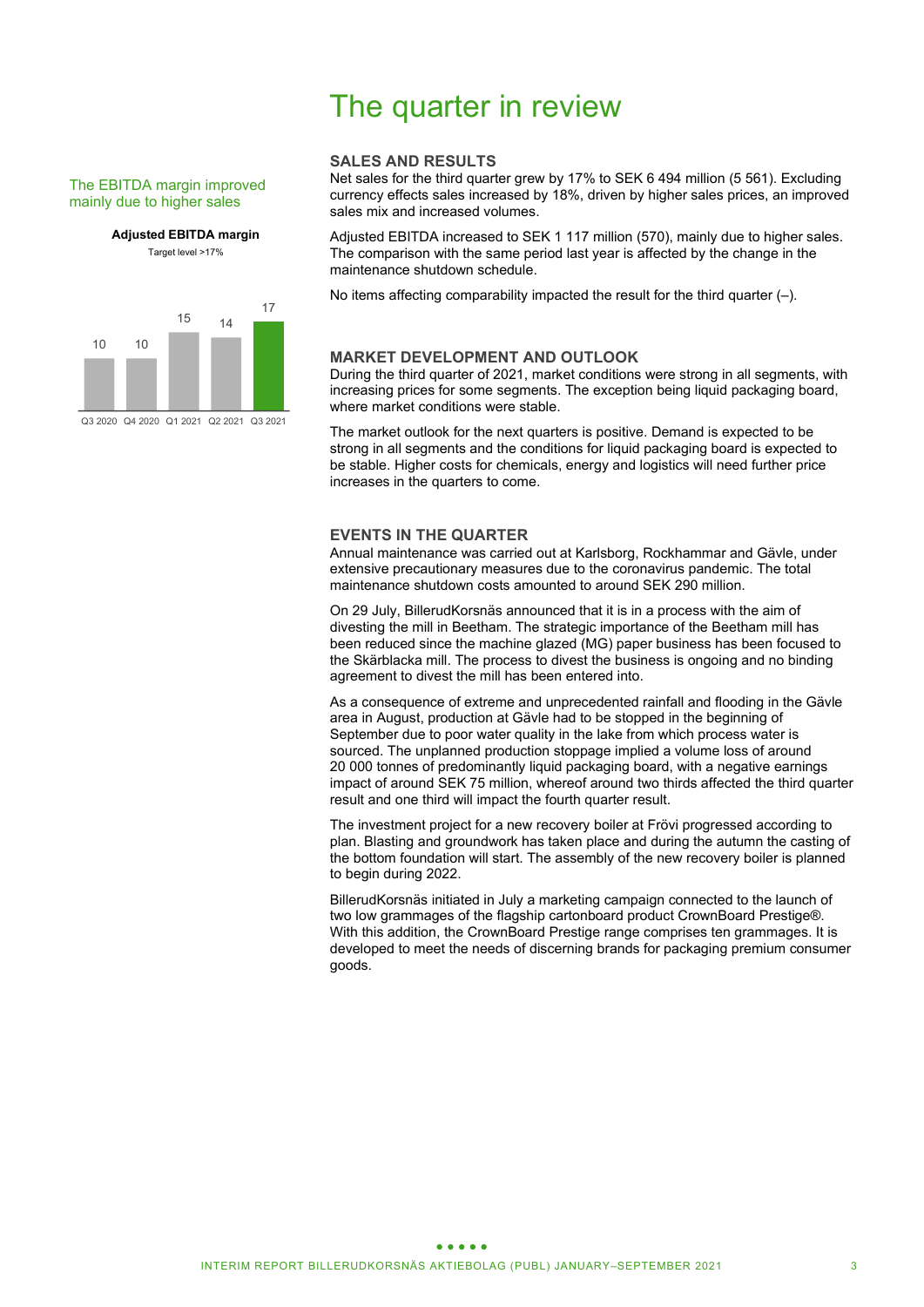### The EBITDA margin improved mainly due to higher sales

**Adjusted EBITDA margin**

Target level >17%



Q3 2020 Q4 2020 Q1 2021 Q2 2021 Q3 2021

# The quarter in review

### **SALES AND RESULTS**

Net sales for the third quarter grew by 17% to SEK 6 494 million (5 561). Excluding currency effects sales increased by 18%, driven by higher sales prices, an improved sales mix and increased volumes.

Adjusted EBITDA increased to SEK 1 117 million (570), mainly due to higher sales. The comparison with the same period last year is affected by the change in the maintenance shutdown schedule.

No items affecting comparability impacted the result for the third quarter (–).

### **MARKET DEVELOPMENT AND OUTLOOK**

During the third quarter of 2021, market conditions were strong in all segments, with increasing prices for some segments. The exception being liquid packaging board, where market conditions were stable.

The market outlook for the next quarters is positive. Demand is expected to be strong in all segments and the conditions for liquid packaging board is expected to be stable. Higher costs for chemicals, energy and logistics will need further price increases in the quarters to come.

### **EVENTS IN THE QUARTER**

Annual maintenance was carried out at Karlsborg, Rockhammar and Gävle, under extensive precautionary measures due to the coronavirus pandemic. The total maintenance shutdown costs amounted to around SEK 290 million.

On 29 July, BillerudKorsnäs announced that it is in a process with the aim of divesting the mill in Beetham. The strategic importance of the Beetham mill has been reduced since the machine glazed (MG) paper business has been focused to the Skärblacka mill. The process to divest the business is ongoing and no binding agreement to divest the mill has been entered into.

As a consequence of extreme and unprecedented rainfall and flooding in the Gävle area in August, production at Gävle had to be stopped in the beginning of September due to poor water quality in the lake from which process water is sourced. The unplanned production stoppage implied a volume loss of around 20 000 tonnes of predominantly liquid packaging board, with a negative earnings impact of around SEK 75 million, whereof around two thirds affected the third quarter result and one third will impact the fourth quarter result.

The investment project for a new recovery boiler at Frövi progressed according to plan. Blasting and groundwork has taken place and during the autumn the casting of the bottom foundation will start. The assembly of the new recovery boiler is planned to begin during 2022.

BillerudKorsnäs initiated in July a marketing campaign connected to the launch of two low grammages of the flagship cartonboard product CrownBoard Prestige®. With this addition, the CrownBoard Prestige range comprises ten grammages. It is developed to meet the needs of discerning brands for packaging premium consumer goods.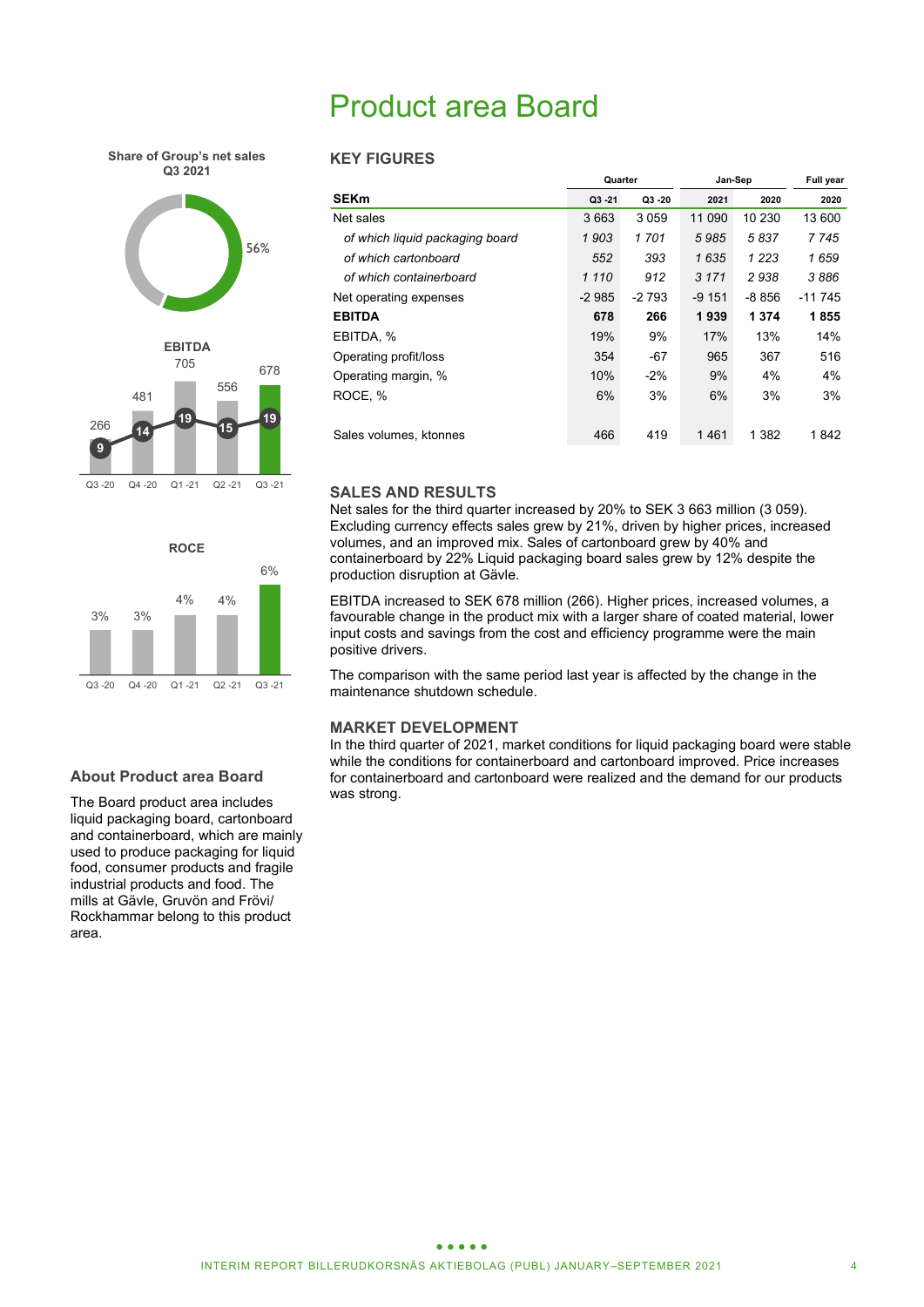# Product area Board

**Share of Group's net sales Q3 2021**





# **ROCE** 3% 3% 4% 4% 6% Q3 -20 Q4 -20 Q1 -21 Q2 -21 Q3 -21

### **KEY FIGURES**

|                                 | Quarter |         | Jan-Sep | <b>Full year</b> |          |
|---------------------------------|---------|---------|---------|------------------|----------|
| <b>SEKm</b>                     | Q3 - 21 | Q3 20   | 2021    | 2020             | 2020     |
| Net sales                       | 3663    | 3 0 5 9 | 11 090  | 10 230           | 13 600   |
| of which liquid packaging board | 1903    | 1701    | 5985    | 5837             | 7745     |
| of which cartonboard            | 552     | 393     | 1635    | 1 2 2 3          | 1659     |
| of which containerboard         | 1 1 1 0 | 912     | 3 1 7 1 | 2938             | 3886     |
| Net operating expenses          | $-2985$ | $-2793$ | $-9151$ | $-8856$          | $-11745$ |
| <b>EBITDA</b>                   | 678     | 266     | 1939    | 1 3 7 4          | 1855     |
| EBITDA, %                       | 19%     | 9%      | 17%     | 13%              | 14%      |
| Operating profit/loss           | 354     | $-67$   | 965     | 367              | 516      |
| Operating margin, %             | 10%     | $-2%$   | 9%      | 4%               | 4%       |
| ROCE. %                         | 6%      | 3%      | 6%      | 3%               | 3%       |
| Sales volumes, ktonnes          | 466     | 419     | 1461    | 1 382            | 1842     |

### **SALES AND RESULTS**

Net sales for the third quarter increased by 20% to SEK 3 663 million (3 059). Excluding currency effects sales grew by 21%, driven by higher prices, increased volumes, and an improved mix. Sales of cartonboard grew by 40% and containerboard by 22% Liquid packaging board sales grew by 12% despite the production disruption at Gävle.

EBITDA increased to SEK 678 million (266). Higher prices, increased volumes, a favourable change in the product mix with a larger share of coated material, lower input costs and savings from the cost and efficiency programme were the main positive drivers.

The comparison with the same period last year is affected by the change in the maintenance shutdown schedule.

### **MARKET DEVELOPMENT**

In the third quarter of 2021, market conditions for liquid packaging board were stable while the conditions for containerboard and cartonboard improved. Price increases for containerboard and cartonboard were realized and the demand for our products was strong.

### **About Product area Board**

The Board product area includes liquid packaging board, cartonboard and containerboard, which are mainly used to produce packaging for liquid food, consumer products and fragile industrial products and food. The mills at Gävle, Gruvön and Frövi/ Rockhammar belong to this product area.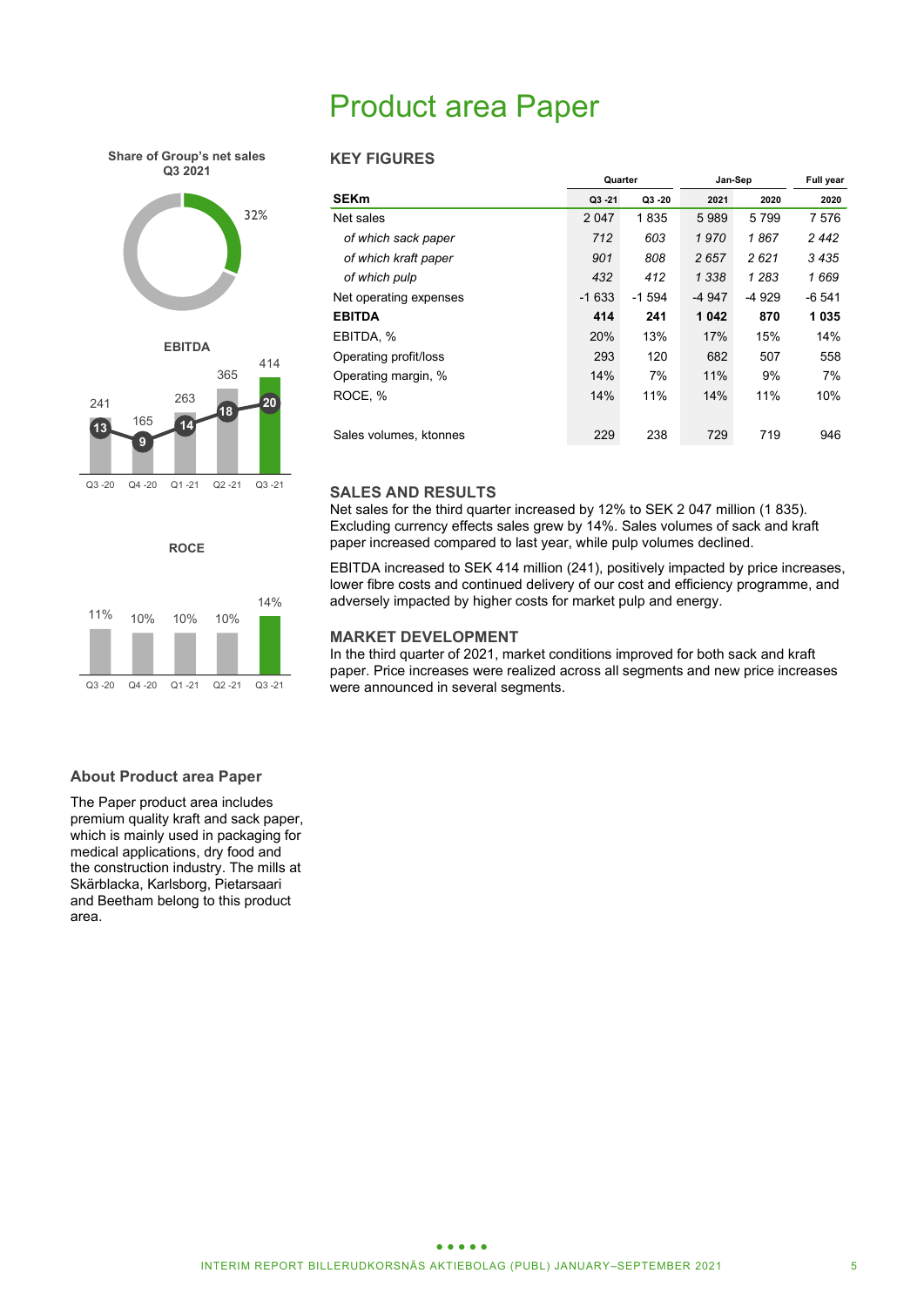# Product area Paper

**Share of Group's net sales Q3 2021**





Q3 -20 Q4 -20 Q1 -21 Q2 -21 Q3 -21

**ROCE**



### **KEY FIGURES**

|                        | Quarter |         | Jan-Sep | <b>Full year</b> |        |
|------------------------|---------|---------|---------|------------------|--------|
| <b>SEKm</b>            | Q3 - 21 | Q3 20   | 2021    | 2020             | 2020   |
| Net sales              | 2 0 4 7 | 1835    | 5989    | 5799             | 7 576  |
| of which sack paper    | 712     | 603     | 1 970   | 1867             | 2 442  |
| of which kraft paper   | 901     | 808     | 2657    | 2621             | 3 435  |
| of which pulp          | 432     | 412     | 1 3 3 8 | 1 2 8 3          | 1669   |
| Net operating expenses | $-1633$ | $-1594$ | -4 947  | $-4929$          | -6 541 |
| <b>EBITDA</b>          | 414     | 241     | 1042    | 870              | 1035   |
| EBITDA. %              | 20%     | 13%     | 17%     | 15%              | 14%    |
| Operating profit/loss  | 293     | 120     | 682     | 507              | 558    |
| Operating margin, %    | 14%     | 7%      | 11%     | 9%               | 7%     |
| ROCE. %                | 14%     | 11%     | 14%     | 11%              | 10%    |
|                        |         |         |         |                  |        |
| Sales volumes, ktonnes | 229     | 238     | 729     | 719              | 946    |

### **SALES AND RESULTS**

Net sales for the third quarter increased by 12% to SEK 2 047 million (1 835). Excluding currency effects sales grew by 14%. Sales volumes of sack and kraft paper increased compared to last year, while pulp volumes declined.

EBITDA increased to SEK 414 million (241), positively impacted by price increases, lower fibre costs and continued delivery of our cost and efficiency programme, and adversely impacted by higher costs for market pulp and energy.

### **MARKET DEVELOPMENT**

In the third quarter of 2021, market conditions improved for both sack and kraft paper. Price increases were realized across all segments and new price increases were announced in several segments.

### **About Product area Paper**

The Paper product area includes premium quality kraft and sack paper, which is mainly used in packaging for medical applications, dry food and the construction industry. The mills at Skärblacka, Karlsborg, Pietarsaari and Beetham belong to this product area.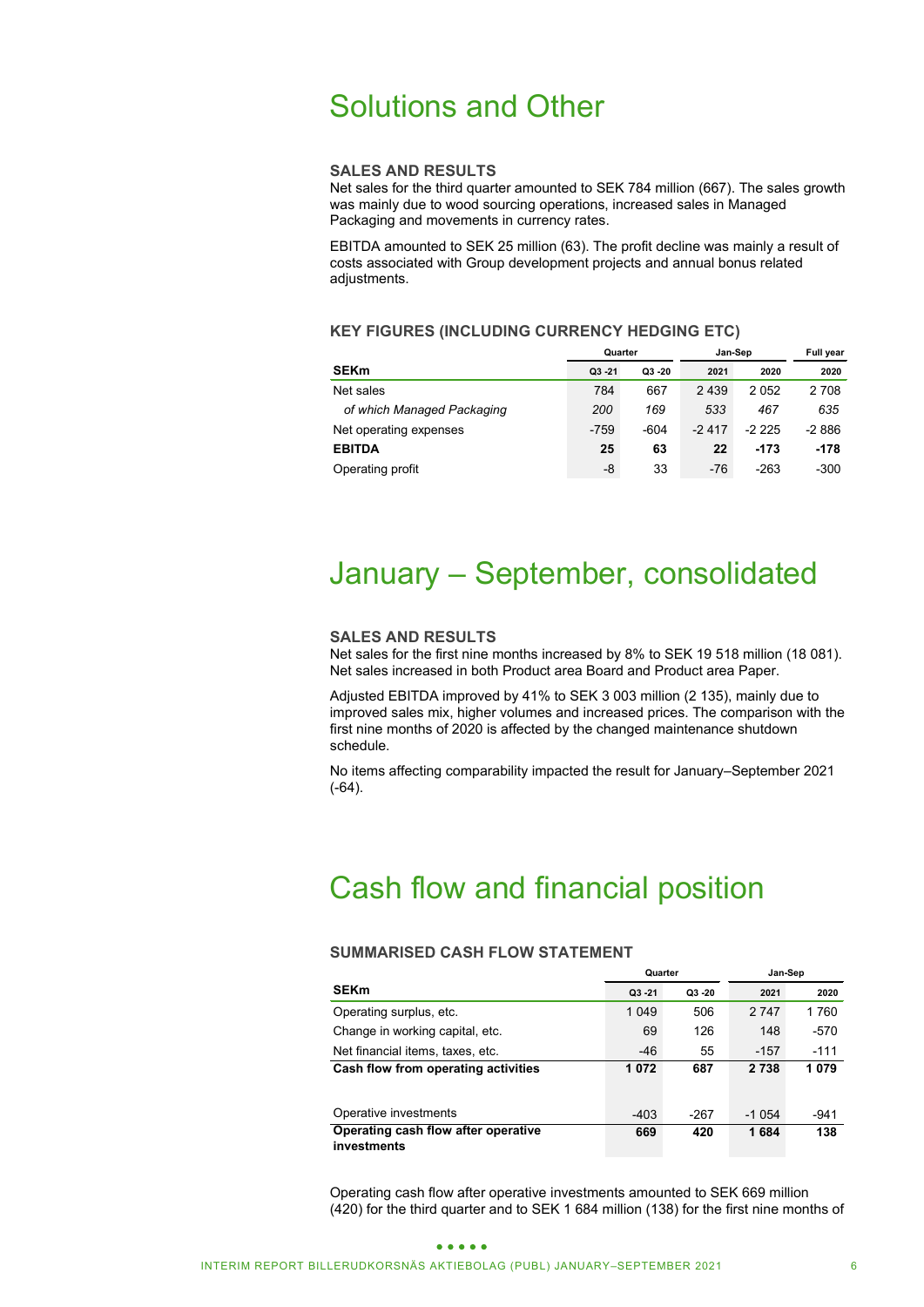# Solutions and Other

### **SALES AND RESULTS**

Net sales for the third quarter amounted to SEK 784 million (667). The sales growth was mainly due to wood sourcing operations, increased sales in Managed Packaging and movements in currency rates.

EBITDA amounted to SEK 25 million (63). The profit decline was mainly a result of costs associated with Group development projects and annual bonus related adjustments.

### **KEY FIGURES (INCLUDING CURRENCY HEDGING ETC)**

|                            | Quarter   |           | Jan-Sep | <b>Full year</b> |         |
|----------------------------|-----------|-----------|---------|------------------|---------|
| <b>SEKm</b>                | $Q3 - 21$ | $Q3 - 20$ | 2021    | 2020             | 2020    |
| Net sales                  | 784       | 667       | 2 4 3 9 | 2052             | 2 7 0 8 |
| of which Managed Packaging | 200       | 169       | 533     | 467              | 635     |
| Net operating expenses     | $-759$    | $-604$    | $-2417$ | $-2225$          | $-2886$ |
| <b>EBITDA</b>              | 25        | 63        | 22      | -173             | $-178$  |
| Operating profit           | -8        | 33        | $-76$   | $-263$           | $-300$  |

# January – September, consolidated

### **SALES AND RESULTS**

Net sales for the first nine months increased by 8% to SEK 19 518 million (18 081). Net sales increased in both Product area Board and Product area Paper.

Adjusted EBITDA improved by 41% to SEK 3 003 million (2 135), mainly due to improved sales mix, higher volumes and increased prices. The comparison with the first nine months of 2020 is affected by the changed maintenance shutdown schedule.

No items affecting comparability impacted the result for January–September 2021 (-64).

# Cash flow and financial position

### **SUMMARISED CASH FLOW STATEMENT**

|                                                    | Quarter   |       | Jan-Sep |        |  |  |
|----------------------------------------------------|-----------|-------|---------|--------|--|--|
| <b>SEKm</b>                                        | $Q3 - 21$ | Q3 20 | 2021    | 2020   |  |  |
| Operating surplus, etc.                            | 1 0 4 9   | 506   | 2 7 4 7 | 1760   |  |  |
| Change in working capital, etc.                    | 69        | 126   | 148     | $-570$ |  |  |
| Net financial items, taxes, etc.                   | $-46$     | 55    | $-157$  | $-111$ |  |  |
| Cash flow from operating activities                | 1072      | 687   | 2 7 3 8 | 1079   |  |  |
|                                                    |           |       |         |        |  |  |
| Operative investments                              | $-403$    | -267  | $-1054$ | -941   |  |  |
| Operating cash flow after operative<br>investments | 669       | 420   | 1684    | 138    |  |  |

Operating cash flow after operative investments amounted to SEK 669 million (420) for the third quarter and to SEK 1 684 million (138) for the first nine months of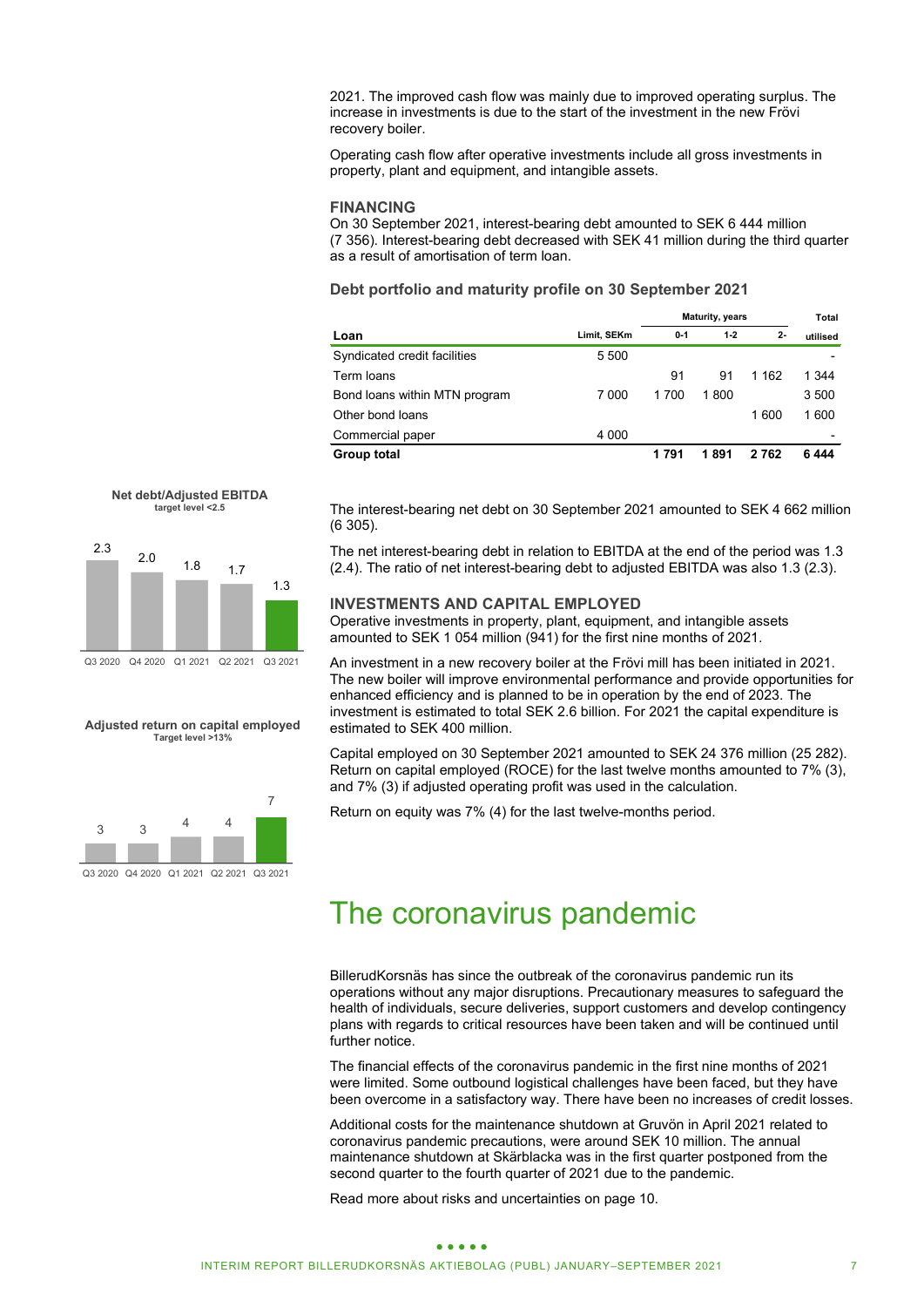2021. The improved cash flow was mainly due to improved operating surplus. The increase in investments is due to the start of the investment in the new Frövi recovery boiler.

Operating cash flow after operative investments include all gross investments in property, plant and equipment, and intangible assets.

### **FINANCING**

On 30 September 2021, interest-bearing debt amounted to SEK 6 444 million (7 356). Interest-bearing debt decreased with SEK 41 million during the third quarter as a result of amortisation of term loan.

**Debt portfolio and maturity profile on 30 September 2021**

|                               |             | <b>Maturity, years</b> |       |         | Total    |
|-------------------------------|-------------|------------------------|-------|---------|----------|
| Loan                          | Limit, SEKm | $0 - 1$                | $1-2$ | $2 -$   | utilised |
| Syndicated credit facilities  | 5 5 0 0     |                        |       |         |          |
| Term loans                    |             | 91                     | 91    | 1 1 6 2 | 1 344    |
| Bond loans within MTN program | 7 000       | 1700                   | 1800  |         | 3 500    |
| Other bond loans              |             |                        |       | 1 600   | 1 600    |
| Commercial paper              | 4 0 0 0     |                        |       |         |          |
| Group total                   |             | 1791                   | 1891  | 2762    | 6 444    |



 $\frac{2.0}{1.8}$  1.8 1.7

1.3

2.3

The interest-bearing net debt on 30 September 2021 amounted to SEK 4 662 million (6 305).

The net interest-bearing debt in relation to EBITDA at the end of the period was 1.3 (2.4). The ratio of net interest-bearing debt to adjusted EBITDA was also 1.3 (2.3).

### **INVESTMENTS AND CAPITAL EMPLOYED**

Operative investments in property, plant, equipment, and intangible assets amounted to SEK 1 054 million (941) for the first nine months of 2021.

An investment in a new recovery boiler at the Frövi mill has been initiated in 2021. The new boiler will improve environmental performance and provide opportunities for enhanced efficiency and is planned to be in operation by the end of 2023. The investment is estimated to total SEK 2.6 billion. For 2021 the capital expenditure is estimated to SEK 400 million.

Capital employed on 30 September 2021 amounted to SEK 24 376 million (25 282). Return on capital employed (ROCE) for the last twelve months amounted to 7% (3), and 7% (3) if adjusted operating profit was used in the calculation.

Return on equity was 7% (4) for the last twelve-months period.



**Adjusted return on capital employed Target level >13%**

Q3 2020 Q4 2020 Q1 2021 Q2 2021 Q3 2021

## The coronavirus pandemic

BillerudKorsnäs has since the outbreak of the coronavirus pandemic run its operations without any major disruptions. Precautionary measures to safeguard the health of individuals, secure deliveries, support customers and develop contingency plans with regards to critical resources have been taken and will be continued until further notice.

The financial effects of the coronavirus pandemic in the first nine months of 2021 were limited. Some outbound logistical challenges have been faced, but they have been overcome in a satisfactory way. There have been no increases of credit losses.

Additional costs for the maintenance shutdown at Gruvön in April 2021 related to coronavirus pandemic precautions, were around SEK 10 million. The annual maintenance shutdown at Skärblacka was in the first quarter postponed from the second quarter to the fourth quarter of 2021 due to the pandemic.

Read more about risks and uncertainties on page 10.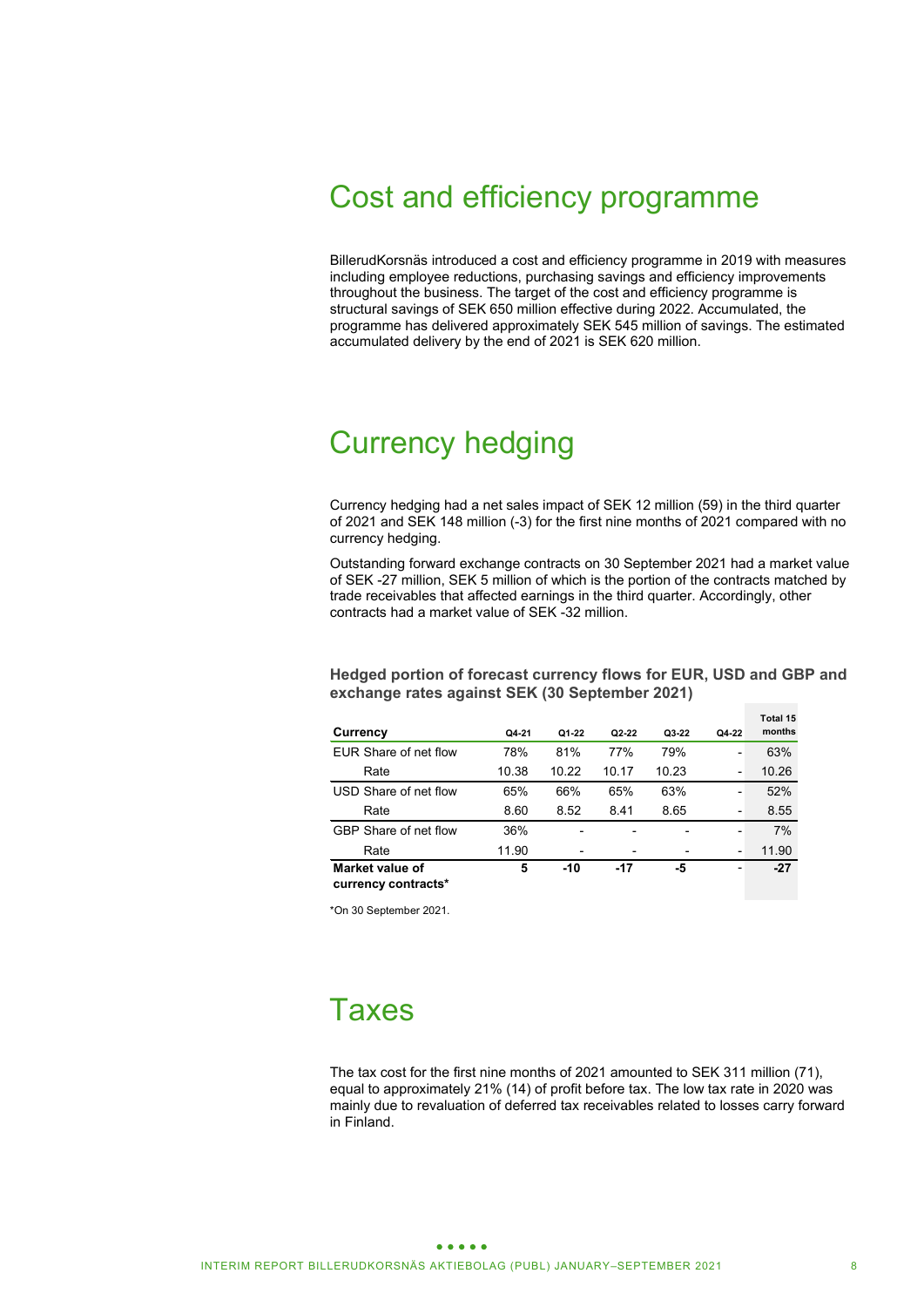# Cost and efficiency programme

BillerudKorsnäs introduced a cost and efficiency programme in 2019 with measures including employee reductions, purchasing savings and efficiency improvements throughout the business. The target of the cost and efficiency programme is structural savings of SEK 650 million effective during 2022. Accumulated, the programme has delivered approximately SEK 545 million of savings. The estimated accumulated delivery by the end of 2021 is SEK 620 million.

# Currency hedging

Currency hedging had a net sales impact of SEK 12 million (59) in the third quarter of 2021 and SEK 148 million (-3) for the first nine months of 2021 compared with no currency hedging.

Outstanding forward exchange contracts on 30 September 2021 had a market value of SEK -27 million, SEK 5 million of which is the portion of the contracts matched by trade receivables that affected earnings in the third quarter. Accordingly, other contracts had a market value of SEK -32 million.

### **Hedged portion of forecast currency flows for EUR, USD and GBP and exchange rates against SEK (30 September 2021)**

|                       |       |       |       |                          |       | Total 15 |
|-----------------------|-------|-------|-------|--------------------------|-------|----------|
| Currency              | Q4-21 | Q1-22 | Q2-22 | Q3-22                    | Q4-22 | months   |
| EUR Share of net flow | 78%   | 81%   | 77%   | 79%                      |       | 63%      |
| Rate                  | 10.38 | 10.22 | 10.17 | 10.23                    | -     | 10.26    |
| USD Share of net flow | 65%   | 66%   | 65%   | 63%                      | -     | 52%      |
| Rate                  | 8.60  | 8.52  | 8.41  | 8.65                     | -     | 8.55     |
| GBP Share of net flow | 36%   |       |       | $\overline{\phantom{0}}$ |       | 7%       |
| Rate                  | 11.90 |       |       | $\overline{\phantom{0}}$ | -     | 11.90    |
| Market value of       | 5     | -10   | -17   | -5                       | -     | $-27$    |
| currency contracts*   |       |       |       |                          |       |          |

\*On 30 September 2021.

# Taxes

The tax cost for the first nine months of 2021 amounted to SEK 311 million (71), equal to approximately 21% (14) of profit before tax. The low tax rate in 2020 was mainly due to revaluation of deferred tax receivables related to losses carry forward in Finland.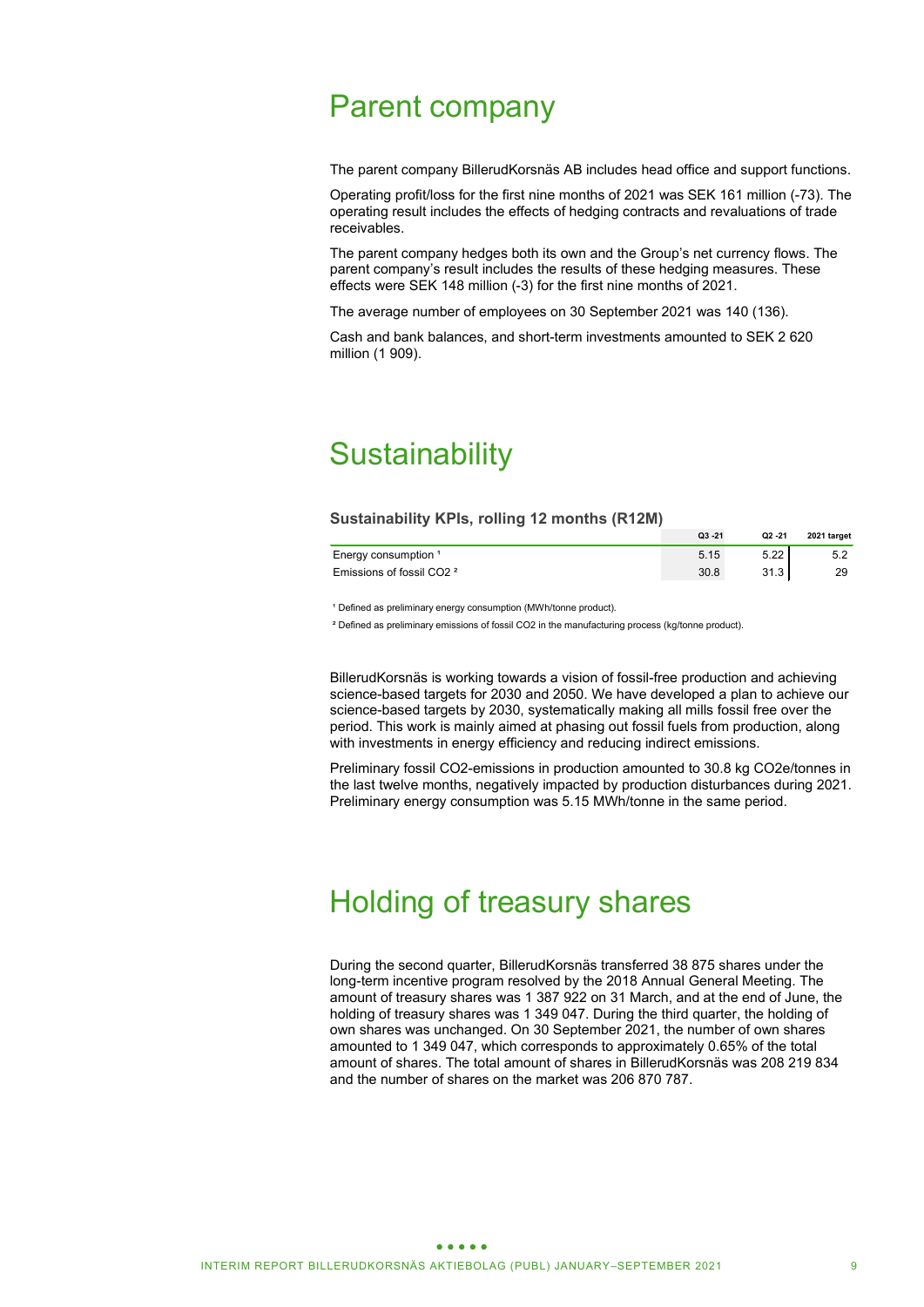# Parent company

The parent company BillerudKorsnäs AB includes head office and support functions.

Operating profit/loss for the first nine months of 2021 was SEK 161 million (-73). The operating result includes the effects of hedging contracts and revaluations of trade receivables.

The parent company hedges both its own and the Group's net currency flows. The parent company's result includes the results of these hedging measures. These effects were SEK 148 million (-3) for the first nine months of 2021.

The average number of employees on 30 September 2021 was 140 (136).

Cash and bank balances, and short-term investments amounted to SEK 2 620 million (1 909).

# **Sustainability**

### **Sustainability KPIs, rolling 12 months (R12M)**

|                                      | $Q3 - 21$ | Q2 -21 | 2021 target |
|--------------------------------------|-----------|--------|-------------|
| Energy consumption 1                 | 5.15      | 5.22   |             |
| Emissions of fossil CO2 <sup>2</sup> | 30.8      | 31.3   | 29          |

<sup>1</sup> Defined as preliminary energy consumption (MWh/tonne product).

² Defined as preliminary emissions of fossil CO2 in the manufacturing process (kg/tonne product).

BillerudKorsnäs is working towards a vision of fossil-free production and achieving science-based targets for 2030 and 2050. We have developed a plan to achieve our science-based targets by 2030, systematically making all mills fossil free over the period. This work is mainly aimed at phasing out fossil fuels from production, along with investments in energy efficiency and reducing indirect emissions.

Preliminary fossil CO2-emissions in production amounted to 30.8 kg CO2e/tonnes in the last twelve months, negatively impacted by production disturbances during 2021. Preliminary energy consumption was 5.15 MWh/tonne in the same period.

# Holding of treasury shares

During the second quarter, BillerudKorsnäs transferred 38 875 shares under the long-term incentive program resolved by the 2018 Annual General Meeting. The amount of treasury shares was 1 387 922 on 31 March, and at the end of June, the holding of treasury shares was 1 349 047. During the third quarter, the holding of own shares was unchanged. On 30 September 2021, the number of own shares amounted to 1 349 047, which corresponds to approximately 0.65% of the total amount of shares. The total amount of shares in BillerudKorsnäs was 208 219 834 and the number of shares on the market was 206 870 787.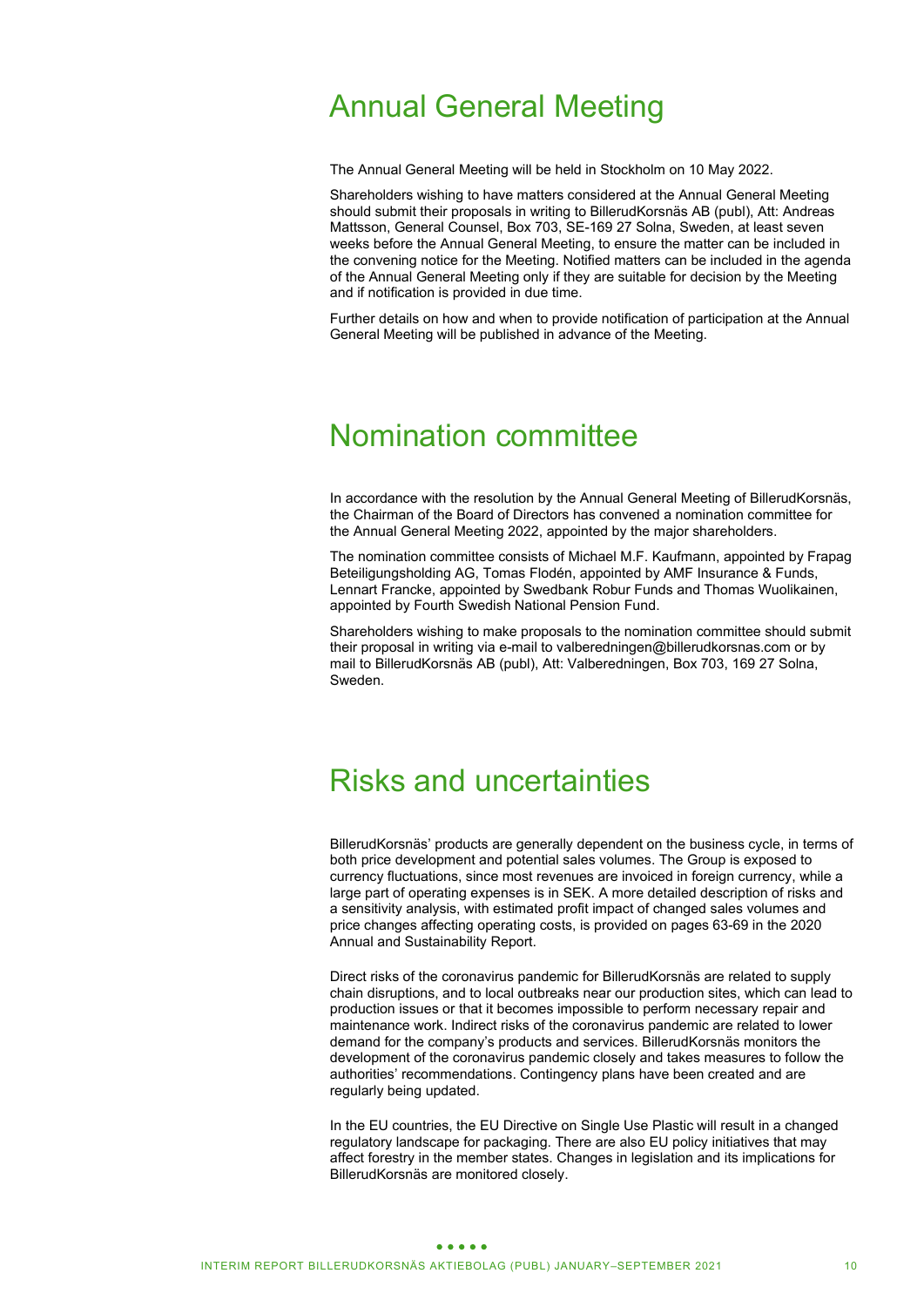# Annual General Meeting

The Annual General Meeting will be held in Stockholm on 10 May 2022.

Shareholders wishing to have matters considered at the Annual General Meeting should submit their proposals in writing to BillerudKorsnäs AB (publ), Att: Andreas Mattsson, General Counsel, Box 703, SE-169 27 Solna, Sweden, at least seven weeks before the Annual General Meeting, to ensure the matter can be included in the convening notice for the Meeting. Notified matters can be included in the agenda of the Annual General Meeting only if they are suitable for decision by the Meeting and if notification is provided in due time.

Further details on how and when to provide notification of participation at the Annual General Meeting will be published in advance of the Meeting.

# Nomination committee

In accordance with the resolution by the Annual General Meeting of BillerudKorsnäs, the Chairman of the Board of Directors has convened a nomination committee for the Annual General Meeting 2022, appointed by the major shareholders.

The nomination committee consists of Michael M.F. Kaufmann, appointed by Frapag Beteiligungsholding AG, Tomas Flodén, appointed by AMF Insurance & Funds, Lennart Francke, appointed by Swedbank Robur Funds and Thomas Wuolikainen, appointed by Fourth Swedish National Pension Fund.

Shareholders wishing to make proposals to the nomination committee should submit their proposal in writing via e-mail to valberedningen@billerudkorsnas.com or by mail to BillerudKorsnäs AB (publ), Att: Valberedningen, Box 703, 169 27 Solna, Sweden.

# Risks and uncertainties

BillerudKorsnäs' products are generally dependent on the business cycle, in terms of both price development and potential sales volumes. The Group is exposed to currency fluctuations, since most revenues are invoiced in foreign currency, while a large part of operating expenses is in SEK. A more detailed description of risks and a sensitivity analysis, with estimated profit impact of changed sales volumes and price changes affecting operating costs, is provided on pages 63-69 in the 2020 Annual and Sustainability Report.

Direct risks of the coronavirus pandemic for BillerudKorsnäs are related to supply chain disruptions, and to local outbreaks near our production sites, which can lead to production issues or that it becomes impossible to perform necessary repair and maintenance work. Indirect risks of the coronavirus pandemic are related to lower demand for the company's products and services. BillerudKorsnäs monitors the development of the coronavirus pandemic closely and takes measures to follow the authorities' recommendations. Contingency plans have been created and are regularly being updated.

In the EU countries, the EU Directive on Single Use Plastic will result in a changed regulatory landscape for packaging. There are also EU policy initiatives that may affect forestry in the member states. Changes in legislation and its implications for BillerudKorsnäs are monitored closely.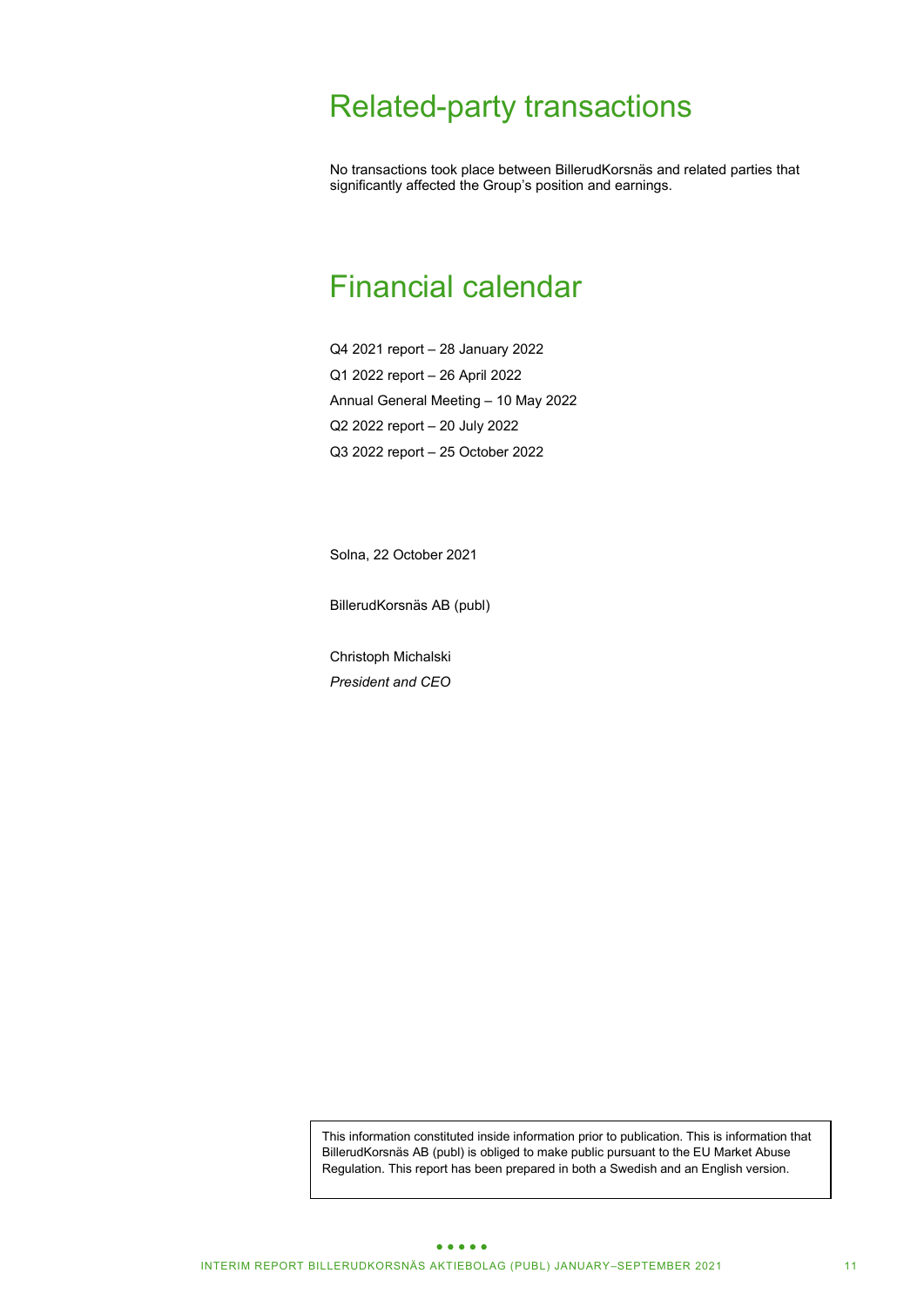# Related-party transactions

No transactions took place between BillerudKorsnäs and related parties that significantly affected the Group's position and earnings.

# Financial calendar

Q4 2021 report – 28 January 2022 Q1 2022 report – 26 April 2022 Annual General Meeting – 10 May 2022 Q2 2022 report – 20 July 2022 Q3 2022 report – 25 October 2022

Solna, 22 October 2021

BillerudKorsnäs AB (publ)

Christoph Michalski *President and CEO* 

This information constituted inside information prior to publication. This is information that BillerudKorsnäs AB (publ) is obliged to make public pursuant to the EU Market Abuse Regulation. This report has been prepared in both a Swedish and an English version.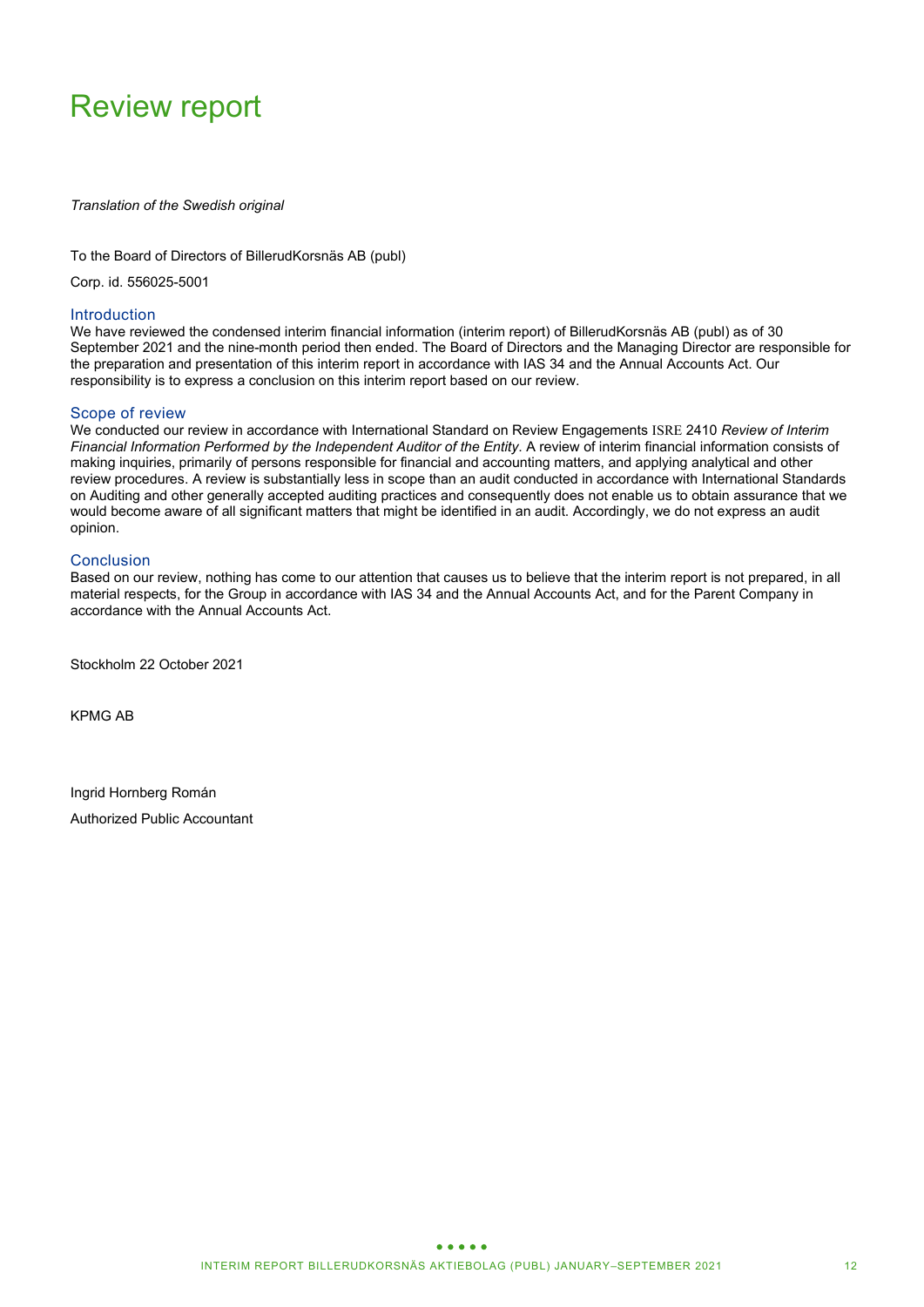# Review report

*Translation of the Swedish original* 

### To the Board of Directors of BillerudKorsnäs AB (publ)

Corp. id. 556025-5001

### Introduction

We have reviewed the condensed interim financial information (interim report) of BillerudKorsnäs AB (publ) as of 30 September 2021 and the nine-month period then ended. The Board of Directors and the Managing Director are responsible for the preparation and presentation of this interim report in accordance with IAS 34 and the Annual Accounts Act. Our responsibility is to express a conclusion on this interim report based on our review.

### Scope of review

We conducted our review in accordance with International Standard on Review Engagements ISRE 2410 *Review of Interim Financial Information Performed by the Independent Auditor of the Entity*. A review of interim financial information consists of making inquiries, primarily of persons responsible for financial and accounting matters, and applying analytical and other review procedures. A review is substantially less in scope than an audit conducted in accordance with International Standards on Auditing and other generally accepted auditing practices and consequently does not enable us to obtain assurance that we would become aware of all significant matters that might be identified in an audit. Accordingly, we do not express an audit opinion.

### **Conclusion**

Based on our review, nothing has come to our attention that causes us to believe that the interim report is not prepared, in all material respects, for the Group in accordance with IAS 34 and the Annual Accounts Act, and for the Parent Company in accordance with the Annual Accounts Act.

Stockholm 22 October 2021

KPMG AB

Ingrid Hornberg Román Authorized Public Accountant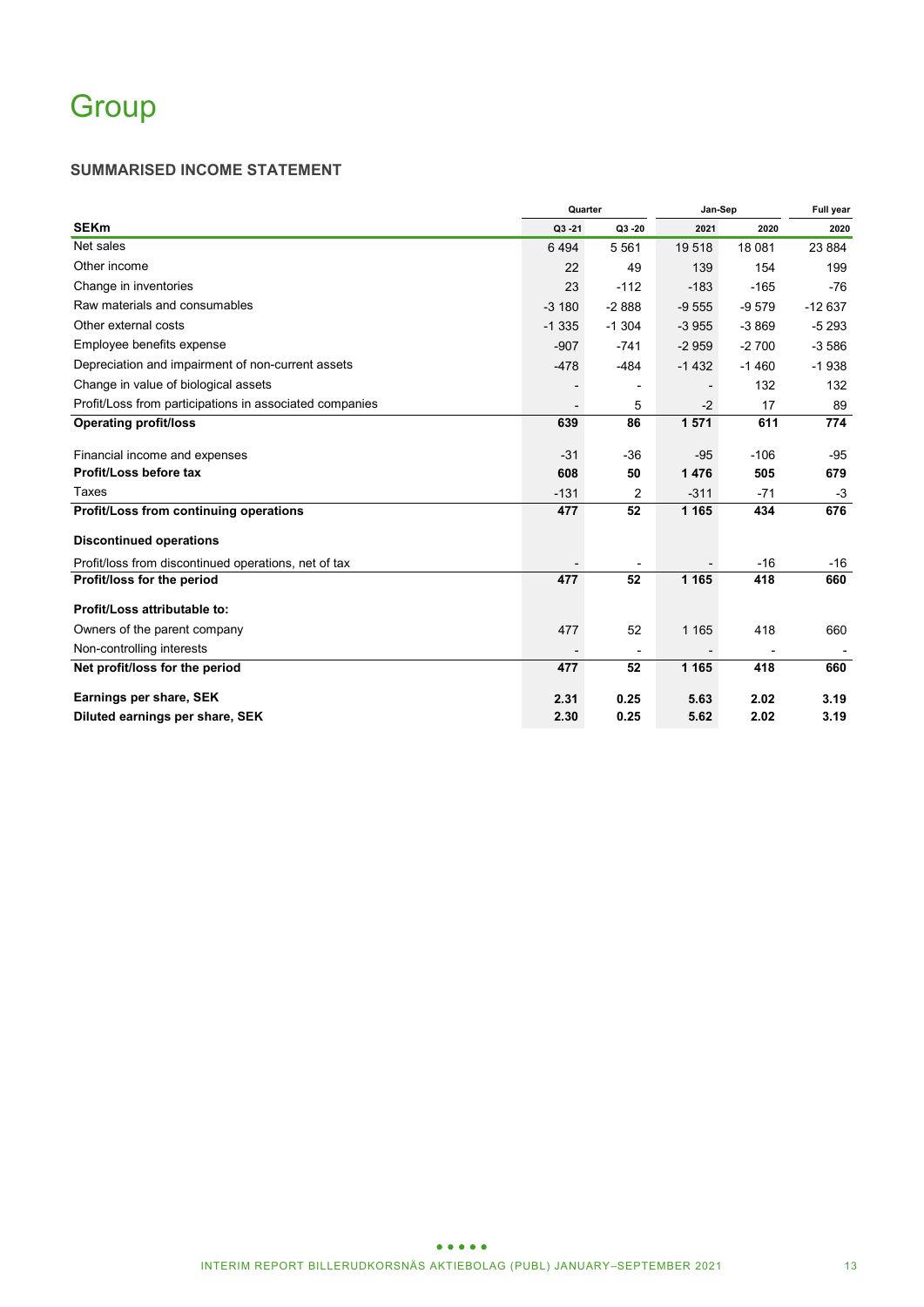# **Group**

### **SUMMARISED INCOME STATEMENT**

|                                                         |           | Quarter                  | Jan-Sep |         | Full year |  |
|---------------------------------------------------------|-----------|--------------------------|---------|---------|-----------|--|
| <b>SEKm</b>                                             | $Q3 - 21$ | Q3 -20                   | 2021    | 2020    | 2020      |  |
| Net sales                                               | 6494      | 5561                     | 19518   | 18 081  | 23 8 84   |  |
| Other income                                            | 22        | 49                       | 139     | 154     | 199       |  |
| Change in inventories                                   | 23        | $-112$                   | $-183$  | $-165$  | $-76$     |  |
| Raw materials and consumables                           | $-3180$   | $-2888$                  | $-9555$ | $-9579$ | $-12637$  |  |
| Other external costs                                    | $-1335$   | $-1.304$                 | $-3955$ | $-3869$ | $-5293$   |  |
| Employee benefits expense                               | $-907$    | $-741$                   | $-2959$ | $-2700$ | $-3586$   |  |
| Depreciation and impairment of non-current assets       | $-478$    | $-484$                   | $-1432$ | $-1460$ | $-1938$   |  |
| Change in value of biological assets                    |           | $\overline{\phantom{0}}$ |         | 132     | 132       |  |
| Profit/Loss from participations in associated companies |           | 5                        | $-2$    | 17      | 89        |  |
| <b>Operating profit/loss</b>                            | 639       | 86                       | 1571    | 611     | 774       |  |
| Financial income and expenses                           | $-31$     | $-36$                    | $-95$   | $-106$  | $-95$     |  |
| Profit/Loss before tax                                  | 608       | 50                       | 1476    | 505     | 679       |  |
| Taxes                                                   | $-131$    | 2                        | $-311$  | $-71$   | $-3$      |  |
| Profit/Loss from continuing operations                  | 477       | 52                       | 1 1 6 5 | 434     | 676       |  |
| <b>Discontinued operations</b>                          |           |                          |         |         |           |  |
| Profit/loss from discontinued operations, net of tax    |           |                          |         | $-16$   | $-16$     |  |
| Profit/loss for the period                              | 477       | 52                       | 1 1 6 5 | 418     | 660       |  |
| Profit/Loss attributable to:                            |           |                          |         |         |           |  |
| Owners of the parent company                            | 477       | 52                       | 1 1 6 5 | 418     | 660       |  |
| Non-controlling interests                               |           |                          |         |         |           |  |
| Net profit/loss for the period                          | 477       | 52                       | 1 1 6 5 | 418     | 660       |  |
| Earnings per share, SEK                                 | 2.31      | 0.25                     | 5.63    | 2.02    | 3.19      |  |
| Diluted earnings per share, SEK                         | 2.30      | 0.25                     | 5.62    | 2.02    | 3.19      |  |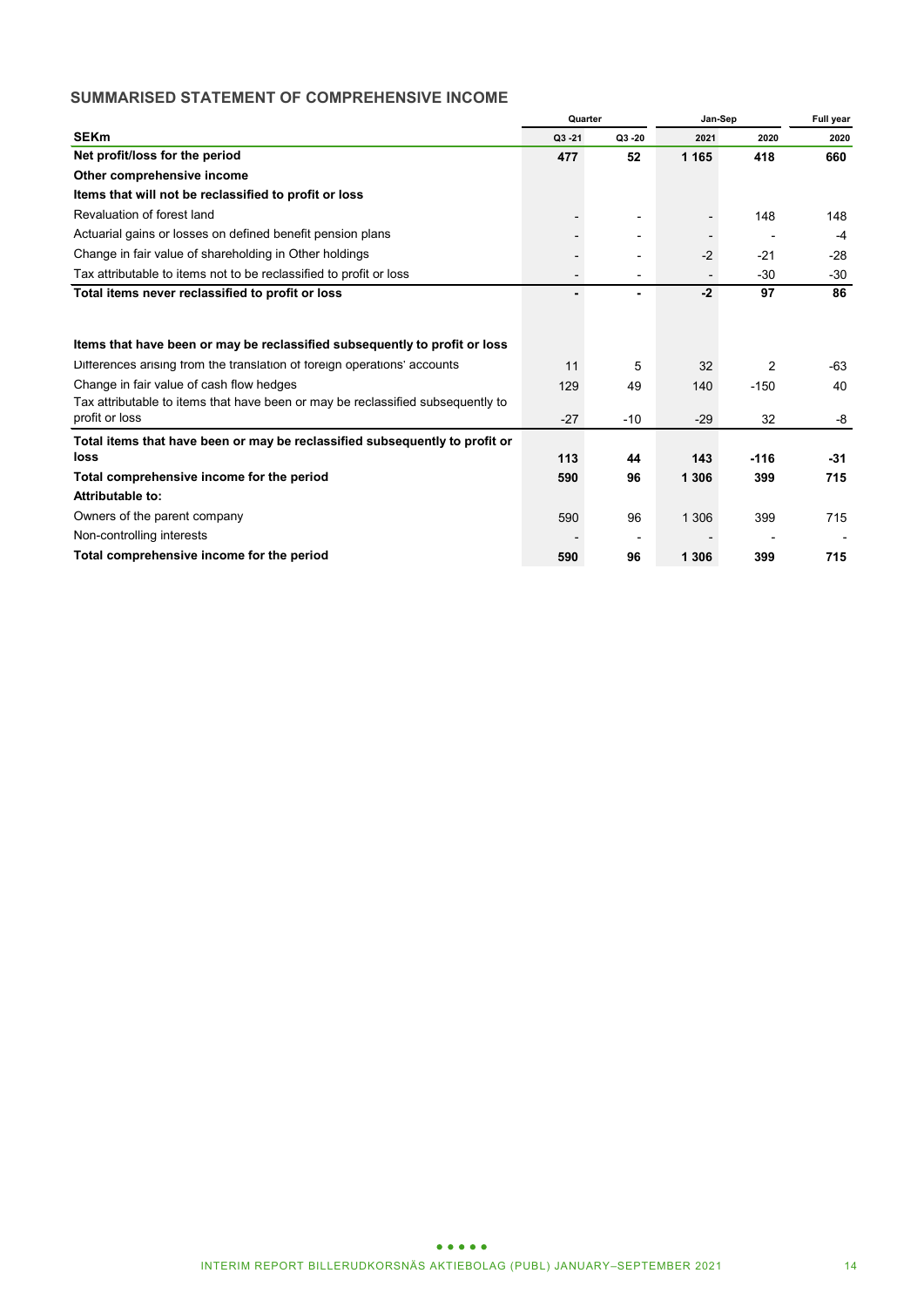### **SUMMARISED STATEMENT OF COMPREHENSIVE INCOME**

|                                                                                 |                          | Quarter                      | Jan-Sep |                | <b>Full year</b> |  |
|---------------------------------------------------------------------------------|--------------------------|------------------------------|---------|----------------|------------------|--|
| <b>SEKm</b>                                                                     | $Q3 - 21$                | $Q3 - 20$                    | 2021    | 2020           | 2020             |  |
| Net profit/loss for the period                                                  | 477                      | 52                           | 1 1 6 5 | 418            | 660              |  |
| Other comprehensive income                                                      |                          |                              |         |                |                  |  |
| Items that will not be reclassified to profit or loss                           |                          |                              |         |                |                  |  |
| Revaluation of forest land                                                      |                          | $\qquad \qquad \blacksquare$ |         | 148            | 148              |  |
| Actuarial gains or losses on defined benefit pension plans                      |                          |                              |         |                | $-4$             |  |
| Change in fair value of shareholding in Other holdings                          |                          | $\overline{\phantom{0}}$     | $-2$    | $-21$          | $-28$            |  |
| Tax attributable to items not to be reclassified to profit or loss              | $\overline{\phantom{a}}$ | $\overline{\phantom{0}}$     |         | $-30$          | $-30$            |  |
| Total items never reclassified to profit or loss                                | ٠                        | ۰                            | $-2$    | 97             | 86               |  |
|                                                                                 |                          |                              |         |                |                  |  |
| Items that have been or may be reclassified subsequently to profit or loss      |                          |                              |         |                |                  |  |
| Differences arising from the translation of foreign operations' accounts        | 11                       | 5                            | 32      | $\overline{2}$ | -63              |  |
| Change in fair value of cash flow hedges                                        | 129                      | 49                           | 140     | $-150$         | 40               |  |
| Tax attributable to items that have been or may be reclassified subsequently to |                          |                              |         |                |                  |  |
| profit or loss                                                                  | $-27$                    | $-10$                        | $-29$   | 32             | -8               |  |
| Total items that have been or may be reclassified subsequently to profit or     |                          |                              |         |                |                  |  |
| loss                                                                            | 113                      | 44                           | 143     | $-116$         | -31              |  |
| Total comprehensive income for the period                                       | 590                      | 96                           | 1 306   | 399            | 715              |  |
| Attributable to:                                                                |                          |                              |         |                |                  |  |
| Owners of the parent company                                                    | 590                      | 96                           | 1 3 0 6 | 399            | 715              |  |
| Non-controlling interests                                                       |                          | ٠                            |         |                |                  |  |
| Total comprehensive income for the period                                       | 590                      | 96                           | 1 3 0 6 | 399            | 715              |  |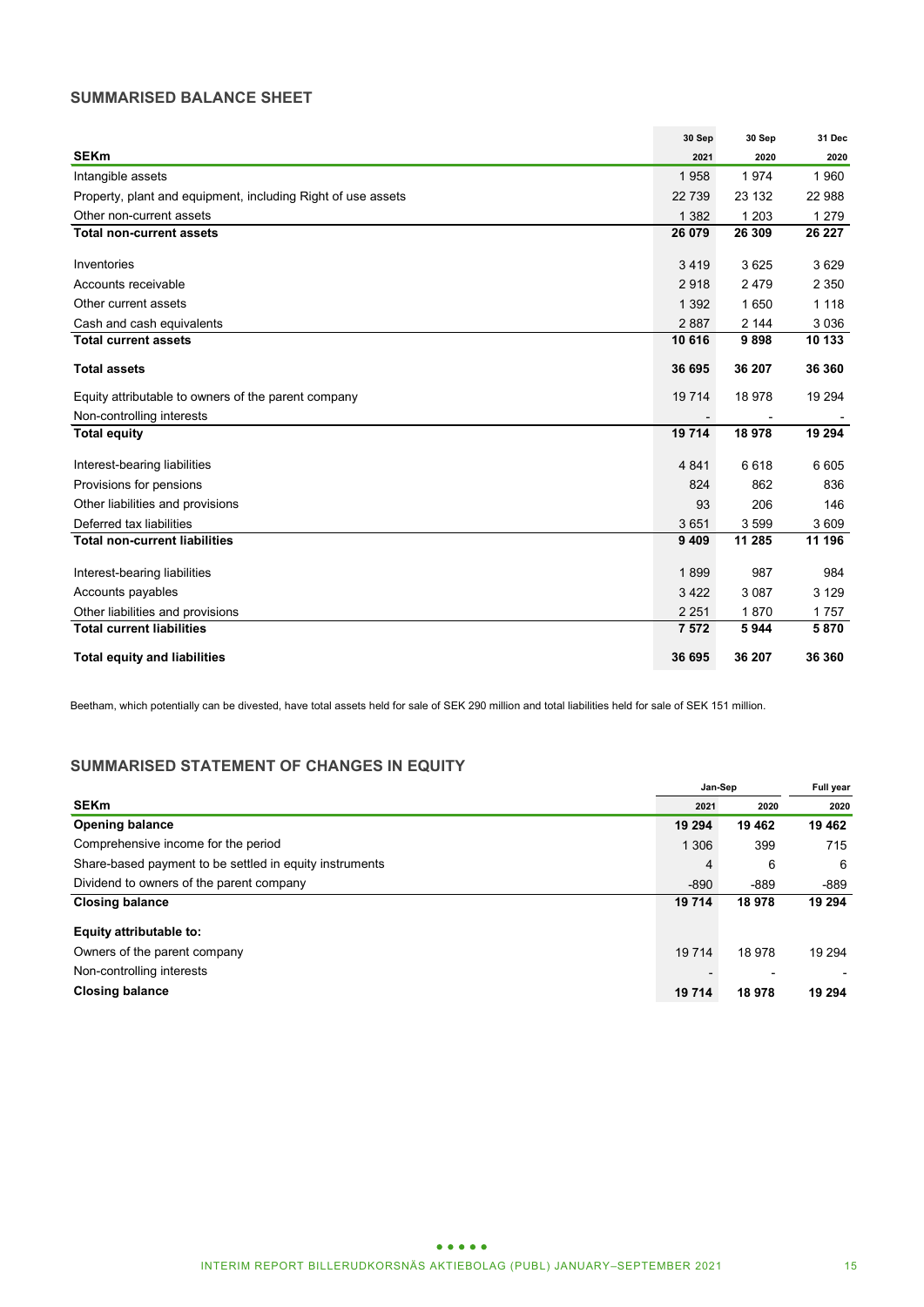### **SUMMARISED BALANCE SHEET**

|                                                              | 30 Sep  | 30 Sep  | 31 Dec  |
|--------------------------------------------------------------|---------|---------|---------|
| <b>SEKm</b>                                                  | 2021    | 2020    | 2020    |
| Intangible assets                                            | 1958    | 1974    | 1960    |
| Property, plant and equipment, including Right of use assets | 22739   | 23 132  | 22 988  |
| Other non-current assets                                     | 1 3 8 2 | 1 2 0 3 | 1 2 7 9 |
| <b>Total non-current assets</b>                              | 26 079  | 26 309  | 26 227  |
| Inventories                                                  | 3419    | 3625    | 3629    |
| Accounts receivable                                          | 2918    | 2479    | 2 3 5 0 |
| Other current assets                                         | 1 3 9 2 | 1650    | 1 1 1 8 |
| Cash and cash equivalents                                    | 2887    | 2 144   | 3 0 3 6 |
| <b>Total current assets</b>                                  | 10 616  | 9898    | 10 133  |
| <b>Total assets</b>                                          | 36 695  | 36 207  | 36 360  |
| Equity attributable to owners of the parent company          | 19714   | 18978   | 19 294  |
| Non-controlling interests                                    |         |         |         |
| <b>Total equity</b>                                          | 19714   | 18978   | 19 294  |
| Interest-bearing liabilities                                 | 4841    | 6618    | 6 6 0 5 |
| Provisions for pensions                                      | 824     | 862     | 836     |
| Other liabilities and provisions                             | 93      | 206     | 146     |
| Deferred tax liabilities                                     | 3651    | 3599    | 3 6 0 9 |
| <b>Total non-current liabilities</b>                         | 9 4 0 9 | 11 285  | 11 196  |
| Interest-bearing liabilities                                 | 1899    | 987     | 984     |
| Accounts payables                                            | 3422    | 3 0 8 7 | 3 1 2 9 |
| Other liabilities and provisions                             | 2 2 5 1 | 1870    | 1757    |
| <b>Total current liabilities</b>                             | 7572    | 5944    | 5870    |
| <b>Total equity and liabilities</b>                          | 36 695  | 36 207  | 36 360  |

Beetham, which potentially can be divested, have total assets held for sale of SEK 290 million and total liabilities held for sale of SEK 151 million.

### **SUMMARISED STATEMENT OF CHANGES IN EQUITY**

|                                                         |         | Jan-Sep |         |  |
|---------------------------------------------------------|---------|---------|---------|--|
| <b>SEKm</b>                                             | 2021    | 2020    | 2020    |  |
| <b>Opening balance</b>                                  | 19 294  | 19 462  | 19 4 62 |  |
| Comprehensive income for the period                     | 1 3 0 6 | 399     | 715     |  |
| Share-based payment to be settled in equity instruments | 4       | 6       | 6       |  |
| Dividend to owners of the parent company                | $-890$  | -889    | -889    |  |
| <b>Closing balance</b>                                  | 19 714  | 18 978  | 19 294  |  |
| Equity attributable to:                                 |         |         |         |  |
| Owners of the parent company                            | 19 7 14 | 18 978  | 19 294  |  |
| Non-controlling interests                               |         |         |         |  |
| <b>Closing balance</b>                                  | 19 714  | 18 978  | 19 294  |  |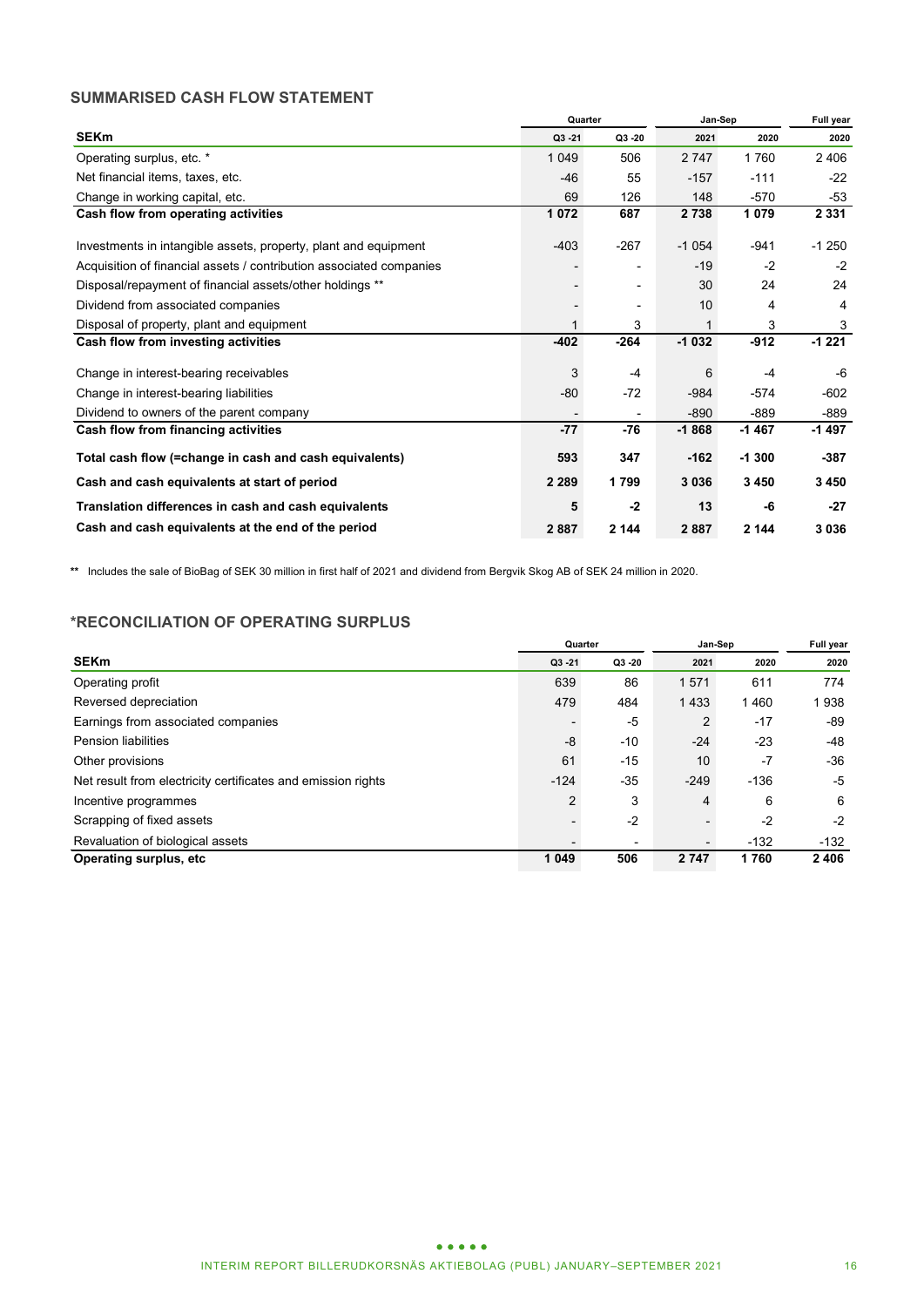### **SUMMARISED CASH FLOW STATEMENT**

|                                                                     |             | Quarter                  | Jan-Sep | Full year |         |
|---------------------------------------------------------------------|-------------|--------------------------|---------|-----------|---------|
| <b>SEKm</b>                                                         | Q3 - 21     | Q3 -20                   | 2021    | 2020      | 2020    |
| Operating surplus, etc. *                                           | 1 0 4 9     | 506                      | 2 747   | 1760      | 2 4 0 6 |
| Net financial items, taxes, etc.                                    | $-46$       | 55                       | $-157$  | $-111$    | $-22$   |
| Change in working capital, etc.                                     | 69          | 126                      | 148     | $-570$    | -53     |
| Cash flow from operating activities                                 | 1072        | 687                      | 2738    | 1079      | 2 3 3 1 |
| Investments in intangible assets, property, plant and equipment     | $-403$      | $-267$                   | $-1054$ | $-941$    | $-1250$ |
| Acquisition of financial assets / contribution associated companies |             | -                        | $-19$   | $-2$      | $-2$    |
| Disposal/repayment of financial assets/other holdings **            |             | $\overline{\phantom{a}}$ | 30      | 24        | 24      |
| Dividend from associated companies                                  |             | $\overline{\phantom{a}}$ | 10      | 4         | 4       |
| Disposal of property, plant and equipment                           | $\mathbf 1$ | 3                        |         | 3         | 3       |
| Cash flow from investing activities                                 | $-402$      | $-264$                   | $-1032$ | $-912$    | $-1221$ |
| Change in interest-bearing receivables                              | 3           | $-4$                     | 6       | $-4$      | -6      |
| Change in interest-bearing liabilities                              | $-80$       | $-72$                    | $-984$  | $-574$    | $-602$  |
| Dividend to owners of the parent company                            |             |                          | $-890$  | $-889$    | $-889$  |
| Cash flow from financing activities                                 | $-77$       | -76                      | $-1868$ | $-1467$   | -1497   |
| Total cash flow (=change in cash and cash equivalents)              | 593         | 347                      | $-162$  | $-1300$   | $-387$  |
| Cash and cash equivalents at start of period                        | 2 2 8 9     | 1799                     | 3036    | 3450      | 3450    |
| Translation differences in cash and cash equivalents                | 5           | $-2$                     | 13      | -6        | $-27$   |
| Cash and cash equivalents at the end of the period                  | 2887        | 2 144                    | 2887    | 2 144     | 3036    |

**\*\*** Includes the sale of BioBag of SEK 30 million in first half of 2021 and dividend from Bergvik Skog AB of SEK 24 million in 2020.

### **\*RECONCILIATION OF OPERATING SURPLUS**

|                                                              | Quarter                  |           | Jan-Sep | <b>Full year</b> |        |
|--------------------------------------------------------------|--------------------------|-----------|---------|------------------|--------|
| <b>SEKm</b>                                                  | $Q3 - 21$                | $Q3 - 20$ | 2021    | 2020             | 2020   |
| Operating profit                                             | 639                      | 86        | 1571    | 611              | 774    |
| Reversed depreciation                                        | 479                      | 484       | 1433    | 1460             | 938    |
| Earnings from associated companies                           | $\overline{\phantom{a}}$ | -5        | 2       | $-17$            | -89    |
| <b>Pension liabilities</b>                                   | -8                       | $-10$     | $-24$   | $-23$            | -48    |
| Other provisions                                             | 61                       | $-15$     | 10      | $-7$             | $-36$  |
| Net result from electricity certificates and emission rights | $-124$                   | $-35$     | $-249$  | $-136$           | -5     |
| Incentive programmes                                         | $\overline{2}$           | 3         | 4       | 6                | 6      |
| Scrapping of fixed assets                                    |                          | $-2$      |         | $-2$             | $-2$   |
| Revaluation of biological assets                             | $\overline{\phantom{0}}$ | ٠         |         | $-132$           | $-132$ |
| Operating surplus, etc.                                      | 1 0 4 9                  | 506       | 2 7 4 7 | 1760             | 2406   |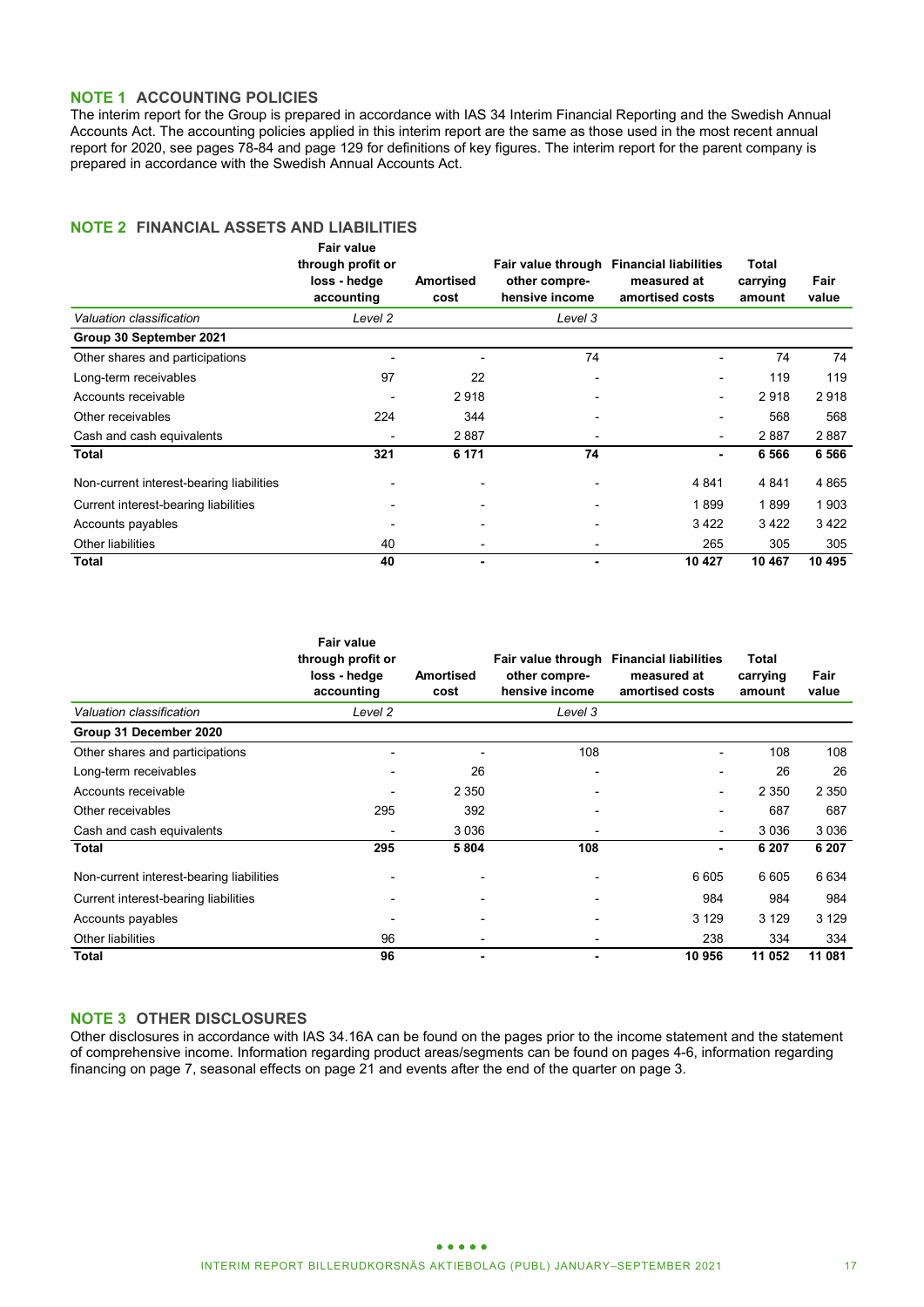### **NOTE 1 ACCOUNTING POLICIES**

The interim report for the Group is prepared in accordance with IAS 34 Interim Financial Reporting and the Swedish Annual Accounts Act. The accounting policies applied in this interim report are the same as those used in the most recent annual report for 2020, see pages 78-84 and page 129 for definitions of key figures. The interim report for the parent company is prepared in accordance with the Swedish Annual Accounts Act.

### **NOTE 2 FINANCIAL ASSETS AND LIABILITIES**

|                                          | <b>Fair value</b><br>through profit or<br>loss - hedge<br>accounting | <b>Amortised</b><br>cost | other compre-<br>hensive income | Fair value through Financial liabilities<br>measured at<br>amortised costs | Total<br>carrying<br>amount | Fair<br>value |
|------------------------------------------|----------------------------------------------------------------------|--------------------------|---------------------------------|----------------------------------------------------------------------------|-----------------------------|---------------|
| Valuation classification                 | Level 2                                                              |                          | Level 3                         |                                                                            |                             |               |
| Group 30 September 2021                  |                                                                      |                          |                                 |                                                                            |                             |               |
| Other shares and participations          |                                                                      |                          | 74                              |                                                                            | 74                          | 74            |
| Long-term receivables                    | 97                                                                   | 22                       | $\overline{\phantom{a}}$        | $\overline{\phantom{a}}$                                                   | 119                         | 119           |
| Accounts receivable                      |                                                                      | 2918                     |                                 |                                                                            | 2918                        | 2918          |
| Other receivables                        | 224                                                                  | 344                      |                                 |                                                                            | 568                         | 568           |
| Cash and cash equivalents                |                                                                      | 2887                     |                                 | $\overline{\phantom{0}}$                                                   | 2887                        | 2887          |
| Total                                    | 321                                                                  | 6 171                    | 74                              | ۰                                                                          | 6 5 6 6                     | 6 5 6 6       |
| Non-current interest-bearing liabilities |                                                                      |                          |                                 | 4 8 4 1                                                                    | 4 8 4 1                     | 4 8 6 5       |
| Current interest-bearing liabilities     |                                                                      |                          |                                 | 1899                                                                       | 1899                        | 1903          |
| Accounts payables                        |                                                                      |                          |                                 | 3422                                                                       | 3422                        | 3422          |
| Other liabilities                        | 40                                                                   | $\overline{\phantom{0}}$ |                                 | 265                                                                        | 305                         | 305           |
| Total                                    | 40                                                                   | ۰                        | ۰                               | 10 427                                                                     | 10 467                      | 10 495        |

|                                          | <b>Fair value</b><br>through profit or<br>loss - hedge<br>accounting | Amortised<br>cost        | other compre-<br>hensive income | Fair value through Financial liabilities<br>measured at<br>amortised costs | <b>Total</b><br>carrying<br>amount | Fair<br>value |
|------------------------------------------|----------------------------------------------------------------------|--------------------------|---------------------------------|----------------------------------------------------------------------------|------------------------------------|---------------|
| Valuation classification                 | Level 2                                                              |                          | Level 3                         |                                                                            |                                    |               |
| Group 31 December 2020                   |                                                                      |                          |                                 |                                                                            |                                    |               |
| Other shares and participations          |                                                                      |                          | 108                             | -                                                                          | 108                                | 108           |
| Long-term receivables                    |                                                                      | 26                       |                                 |                                                                            | 26                                 | 26            |
| Accounts receivable                      |                                                                      | 2 3 5 0                  |                                 |                                                                            | 2 3 5 0                            | 2 3 5 0       |
| Other receivables                        | 295                                                                  | 392                      |                                 |                                                                            | 687                                | 687           |
| Cash and cash equivalents                | $\overline{a}$                                                       | 3 0 3 6                  |                                 | -                                                                          | 3036                               | 3 0 3 6       |
| <b>Total</b>                             | 295                                                                  | 5804                     | 108                             | ۰                                                                          | 6 207                              | 6 20 7        |
| Non-current interest-bearing liabilities |                                                                      |                          |                                 | 6 6 0 5                                                                    | 6 6 0 5                            | 6 6 3 4       |
| Current interest-bearing liabilities     |                                                                      | $\overline{\phantom{0}}$ |                                 | 984                                                                        | 984                                | 984           |
| Accounts payables                        |                                                                      |                          |                                 | 3 1 2 9                                                                    | 3 1 2 9                            | 3 1 2 9       |
| Other liabilities                        | 96                                                                   | $\overline{\phantom{0}}$ |                                 | 238                                                                        | 334                                | 334           |
| <b>Total</b>                             | 96                                                                   | ۰                        |                                 | 10 956                                                                     | 11 052                             | 11 081        |

### **NOTE 3 OTHER DISCLOSURES**

Other disclosures in accordance with IAS 34.16A can be found on the pages prior to the income statement and the statement of comprehensive income. Information regarding product areas/segments can be found on pages 4-6, information regarding financing on page 7, seasonal effects on page 21 and events after the end of the quarter on page 3.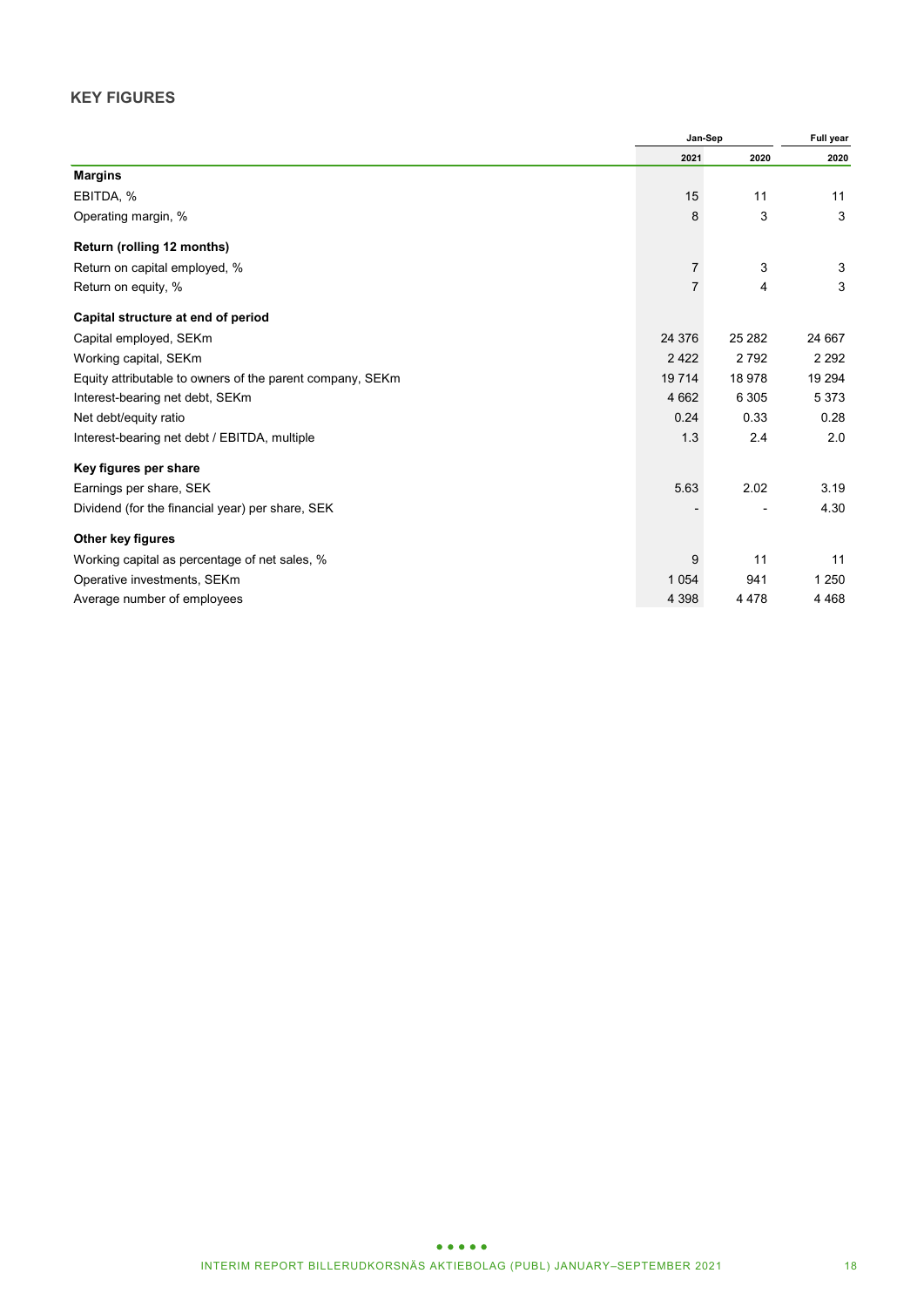### **KEY FIGURES**

|                                                           | Jan-Sep        | Full year |         |
|-----------------------------------------------------------|----------------|-----------|---------|
|                                                           | 2021           | 2020      | 2020    |
| <b>Margins</b>                                            |                |           |         |
| EBITDA, %                                                 | 15             | 11        | 11      |
| Operating margin, %                                       | 8              | 3         | 3       |
| Return (rolling 12 months)                                |                |           |         |
| Return on capital employed, %                             | $\overline{7}$ | 3         | 3       |
| Return on equity, %                                       | 7              | 4         | 3       |
| Capital structure at end of period                        |                |           |         |
| Capital employed, SEKm                                    | 24 376         | 25 28 2   | 24 667  |
| Working capital, SEKm                                     | 2 4 2 2        | 2792      | 2 2 9 2 |
| Equity attributable to owners of the parent company, SEKm | 19 7 14        | 18 978    | 19 294  |
| Interest-bearing net debt, SEKm                           | 4 6 6 2        | 6 3 0 5   | 5 3 7 3 |
| Net debt/equity ratio                                     | 0.24           | 0.33      | 0.28    |
| Interest-bearing net debt / EBITDA, multiple              | 1.3            | 2.4       | 2.0     |
| Key figures per share                                     |                |           |         |
| Earnings per share, SEK                                   | 5.63           | 2.02      | 3.19    |
| Dividend (for the financial year) per share, SEK          |                |           | 4.30    |
| Other key figures                                         |                |           |         |
| Working capital as percentage of net sales, %             | 9              | 11        | 11      |
| Operative investments, SEKm                               | 1 0 5 4        | 941       | 1 2 5 0 |
| Average number of employees                               | 4 3 9 8        | 4 4 7 8   | 4 4 6 8 |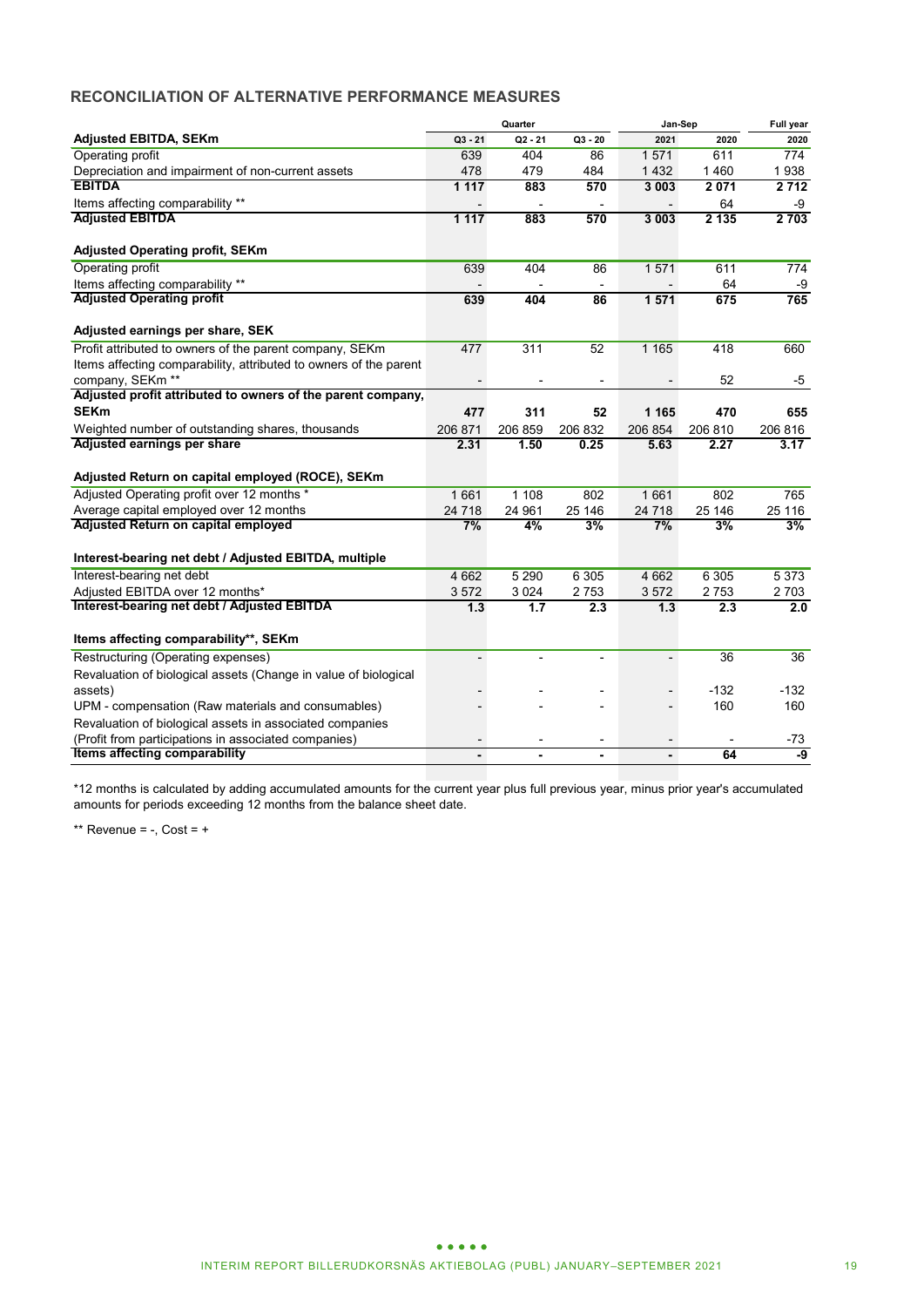### **RECONCILIATION OF ALTERNATIVE PERFORMANCE MEASURES**

|                                                                   |                          | Quarter   |                          | Jan-Sep                  | Full year |         |
|-------------------------------------------------------------------|--------------------------|-----------|--------------------------|--------------------------|-----------|---------|
| <b>Adjusted EBITDA, SEKm</b>                                      | $Q3 - 21$                | $Q2 - 21$ | $Q3 - 20$                | 2021                     | 2020      | 2020    |
| Operating profit                                                  | 639                      | 404       | 86                       | 1571                     | 611       | 774     |
| Depreciation and impairment of non-current assets                 | 478                      | 479       | 484                      | 1 4 3 2                  | 1460      | 1938    |
| <b>EBITDA</b>                                                     | 1117                     | 883       | 570                      | 3 0 0 3                  | 2071      | 2712    |
| Items affecting comparability **                                  |                          |           |                          |                          | 64        | -9      |
| <b>Adjusted EBITDA</b>                                            | 1 1 1 7                  | 883       | 570                      | 3 0 0 3                  | 2135      | 2703    |
| <b>Adjusted Operating profit, SEKm</b>                            |                          |           |                          |                          |           |         |
| Operating profit                                                  | 639                      | 404       | 86                       | 1571                     | 611       | 774     |
| Items affecting comparability **                                  |                          |           | $\overline{\phantom{a}}$ |                          | 64        | -9      |
| <b>Adjusted Operating profit</b>                                  | 639                      | 404       | 86                       | 1571                     | 675       | 765     |
| Adjusted earnings per share, SEK                                  |                          |           |                          |                          |           |         |
| Profit attributed to owners of the parent company, SEKm           | 477                      | 311       | 52                       | 1 1 6 5                  | 418       | 660     |
| Items affecting comparability, attributed to owners of the parent |                          |           |                          |                          |           |         |
| company. SEKm <sup>**</sup>                                       | $\overline{\phantom{0}}$ |           | $\overline{a}$           |                          | 52        | -5      |
| Adjusted profit attributed to owners of the parent company,       |                          |           |                          |                          |           |         |
| <b>SEKm</b>                                                       | 477                      | 311       | 52                       | 1 1 6 5                  | 470       | 655     |
| Weighted number of outstanding shares, thousands                  | 206 871                  | 206 859   | 206 832                  | 206 854                  | 206 810   | 206 816 |
| Adjusted earnings per share                                       | 2.31                     | 1.50      | 0.25                     | 5.63                     | 2.27      | 3.17    |
| Adjusted Return on capital employed (ROCE), SEKm                  |                          |           |                          |                          |           |         |
| Adjusted Operating profit over 12 months *                        | 1661                     | 1108      | 802                      | 1661                     | 802       | 765     |
| Average capital employed over 12 months                           | 24 7 18                  | 24 961    | 25 146                   | 24 718                   | 25 146    | 25 116  |
| Adjusted Return on capital employed                               | 7%                       | 4%        | 3%                       | 7%                       | 3%        | 3%      |
| Interest-bearing net debt / Adjusted EBITDA, multiple             |                          |           |                          |                          |           |         |
| Interest-bearing net debt                                         | 4 6 6 2                  | 5 2 9 0   | 6 3 0 5                  | 4 6 6 2                  | 6 3 0 5   | 5 3 7 3 |
| Adjusted EBITDA over 12 months*                                   | 3572                     | 3 0 2 4   | 2753                     | 3572                     | 2753      | 2 7 0 3 |
| Interest-bearing net debt / Adjusted EBITDA                       | 1.3                      | 1.7       | 2.3                      | 1.3                      | 2.3       | 2.0     |
| Items affecting comparability**, SEKm                             |                          |           |                          |                          |           |         |
| Restructuring (Operating expenses)                                | $\overline{\phantom{0}}$ | ÷,        | L,                       | $\overline{\phantom{a}}$ | 36        | 36      |
| Revaluation of biological assets (Change in value of biological   |                          |           |                          |                          |           |         |
| assets)                                                           |                          |           |                          | $\overline{\phantom{0}}$ | $-132$    | $-132$  |
| UPM - compensation (Raw materials and consumables)                |                          |           |                          |                          | 160       | 160     |
| Revaluation of biological assets in associated companies          |                          |           |                          |                          |           |         |
| (Profit from participations in associated companies)              |                          |           |                          |                          |           | -73     |
| Items affecting comparability                                     |                          |           | ä,                       |                          | 64        | -9      |

\*12 months is calculated by adding accumulated amounts for the current year plus full previous year, minus prior year's accumulated amounts for periods exceeding 12 months from the balance sheet date.

\*\* Revenue =  $-$ , Cost =  $+$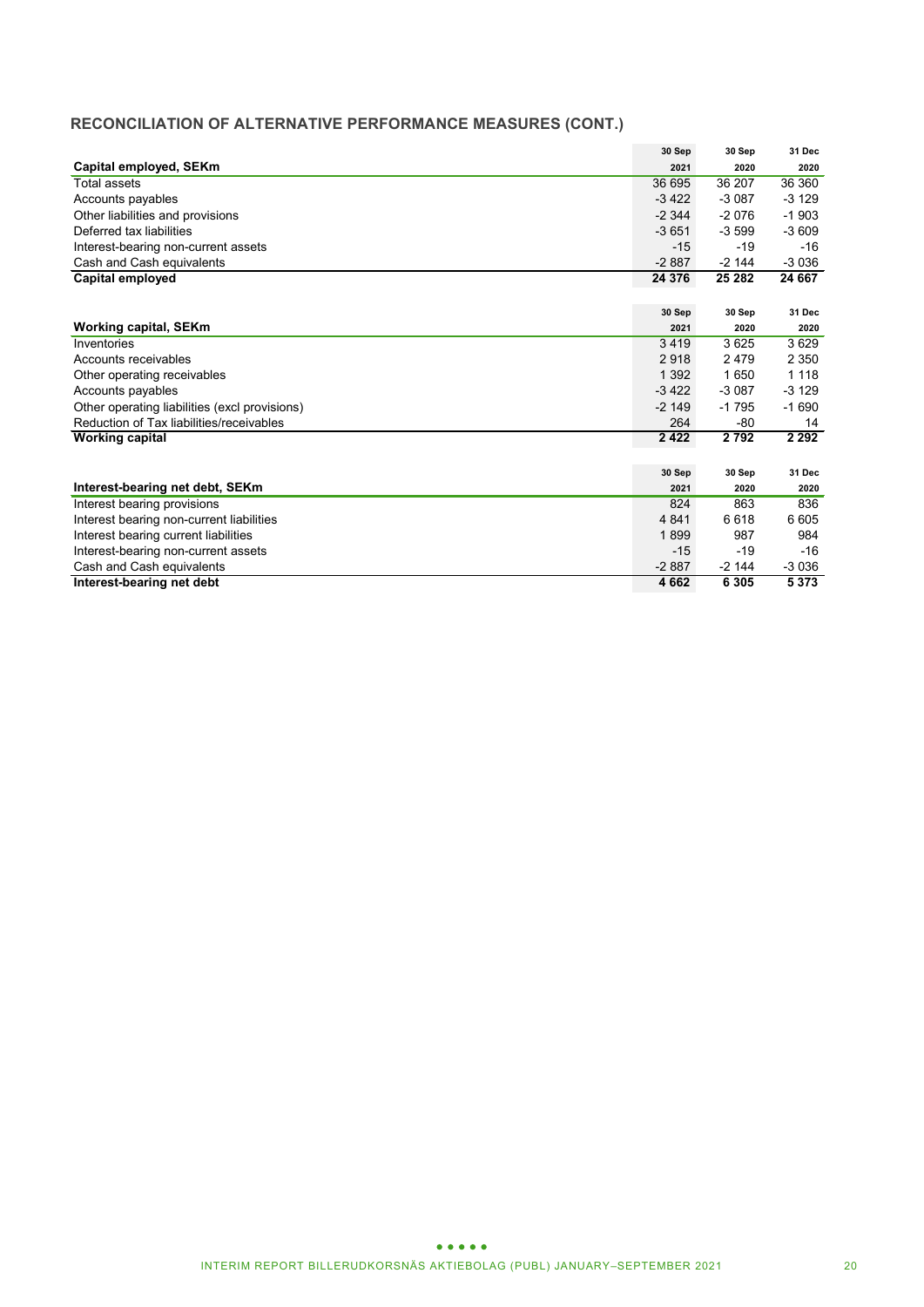### **RECONCILIATION OF ALTERNATIVE PERFORMANCE MEASURES (CONT.)**

|                                               | 30 Sep   | 30 Sep  | 31 Dec  |
|-----------------------------------------------|----------|---------|---------|
| Capital employed, SEKm                        | 2021     | 2020    | 2020    |
| Total assets                                  | 36 695   | 36 207  | 36 360  |
| Accounts payables                             | $-3422$  | $-3087$ | $-3129$ |
| Other liabilities and provisions              | $-2344$  | $-2076$ | $-1903$ |
| Deferred tax liabilities                      | $-3651$  | $-3599$ | $-3609$ |
| Interest-bearing non-current assets           | $-15$    | $-19$   | $-16$   |
| Cash and Cash equivalents                     | $-2887$  | $-2144$ | $-3036$ |
| Capital employed                              | 24 376   | 25 28 2 | 24 667  |
|                                               |          |         |         |
|                                               | 30 Sep   | 30 Sep  | 31 Dec  |
| Working capital, SEKm                         | 2021     | 2020    | 2020    |
| Inventories                                   | 3419     | 3625    | 3629    |
| Accounts receivables                          | 2918     | 2479    | 2 3 5 0 |
| Other operating receivables                   | 1 3 9 2  | 1650    | 1 1 1 8 |
| Accounts payables                             | $-3,422$ | $-3087$ | $-3129$ |
| Other operating liabilities (excl provisions) | $-2149$  | $-1795$ | $-1690$ |
| Reduction of Tax liabilities/receivables      | 264      | $-80$   | 14      |
| <b>Working capital</b>                        | 2422     | 2792    | 2 2 9 2 |
|                                               |          |         |         |
|                                               | 30 Sep   | 30 Sep  | 31 Dec  |
| Interest-bearing net debt, SEKm               | 2021     | 2020    | 2020    |
| Interest bearing provisions                   | 824      | 863     | 836     |
| Interest bearing non-current liabilities      | 4 8 4 1  | 6618    | 6 6 0 5 |
| Interest bearing current liabilities          | 1899     | 987     | 984     |
| Interest-bearing non-current assets           | $-15$    | $-19$   | $-16$   |
| Cash and Cash equivalents                     | $-2887$  | $-2144$ | $-3036$ |
| Interest-bearing net debt                     | 4662     | 6 3 0 5 | 5373    |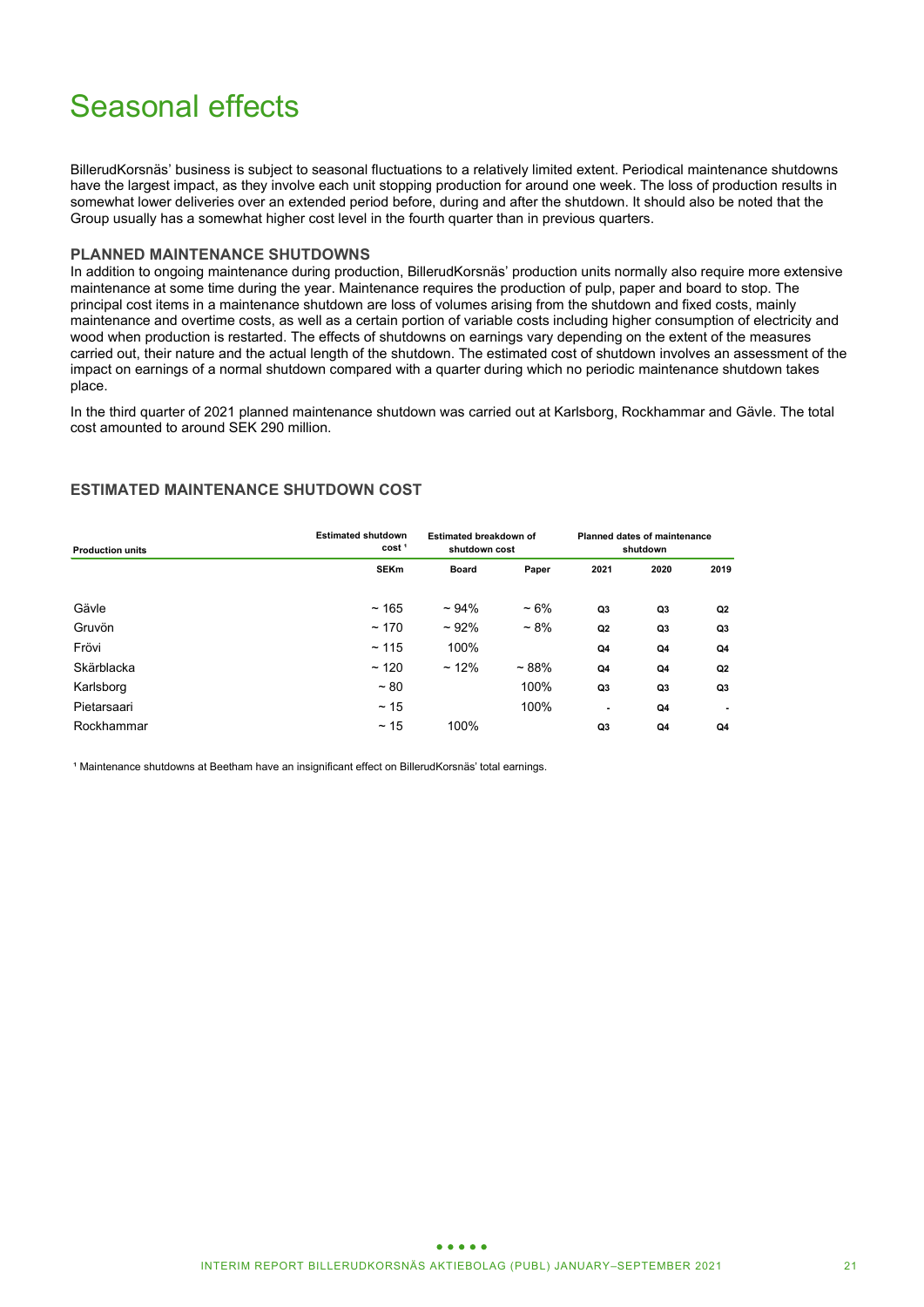# Seasonal effects

BillerudKorsnäs' business is subject to seasonal fluctuations to a relatively limited extent. Periodical maintenance shutdowns have the largest impact, as they involve each unit stopping production for around one week. The loss of production results in somewhat lower deliveries over an extended period before, during and after the shutdown. It should also be noted that the Group usually has a somewhat higher cost level in the fourth quarter than in previous quarters.

### **PLANNED MAINTENANCE SHUTDOWNS**

In addition to ongoing maintenance during production, BillerudKorsnäs' production units normally also require more extensive maintenance at some time during the year. Maintenance requires the production of pulp, paper and board to stop. The principal cost items in a maintenance shutdown are loss of volumes arising from the shutdown and fixed costs, mainly maintenance and overtime costs, as well as a certain portion of variable costs including higher consumption of electricity and wood when production is restarted. The effects of shutdowns on earnings vary depending on the extent of the measures carried out, their nature and the actual length of the shutdown. The estimated cost of shutdown involves an assessment of the impact on earnings of a normal shutdown compared with a quarter during which no periodic maintenance shutdown takes place.

In the third quarter of 2021 planned maintenance shutdown was carried out at Karlsborg, Rockhammar and Gävle. The total cost amounted to around SEK 290 million.

### **ESTIMATED MAINTENANCE SHUTDOWN COST**

| <b>Production units</b> | <b>Estimated shutdown</b><br>cost <sup>1</sup> | Estimated breakdown of<br>shutdown cost |           | <b>Planned dates of maintenance</b><br>shutdown |                |      |
|-------------------------|------------------------------------------------|-----------------------------------------|-----------|-------------------------------------------------|----------------|------|
|                         | <b>SEKm</b>                                    | <b>Board</b>                            | Paper     | 2021                                            | 2020           | 2019 |
| Gävle                   | ~165                                           | $~104\%$                                | $~10\%$   | Q3                                              | Q <sub>3</sub> | Q2   |
| Gruvön                  | ~170                                           | $~102\%$                                | $~1.8\%$  | Q <sub>2</sub>                                  | Q <sub>3</sub> | Q3   |
| Frövi                   | ~115                                           | 100%                                    |           | Q4                                              | Q4             | Q4   |
| Skärblacka              | ~120                                           | $~12\%$                                 | $~1.88\%$ | Q4                                              | Q4             | Q2   |
| Karlsborg               | $~1$ 80                                        |                                         | 100%      | Q3                                              | Q <sub>3</sub> | Q3   |
| Pietarsaari             | $~\sim$ 15                                     |                                         | 100%      | $\blacksquare$                                  | Q4             | -    |
| Rockhammar              | $~\sim$ 15                                     | 100%                                    |           | Q3                                              | Q4             | Q4   |

<sup>1</sup> Maintenance shutdowns at Beetham have an insignificant effect on BillerudKorsnäs' total earnings.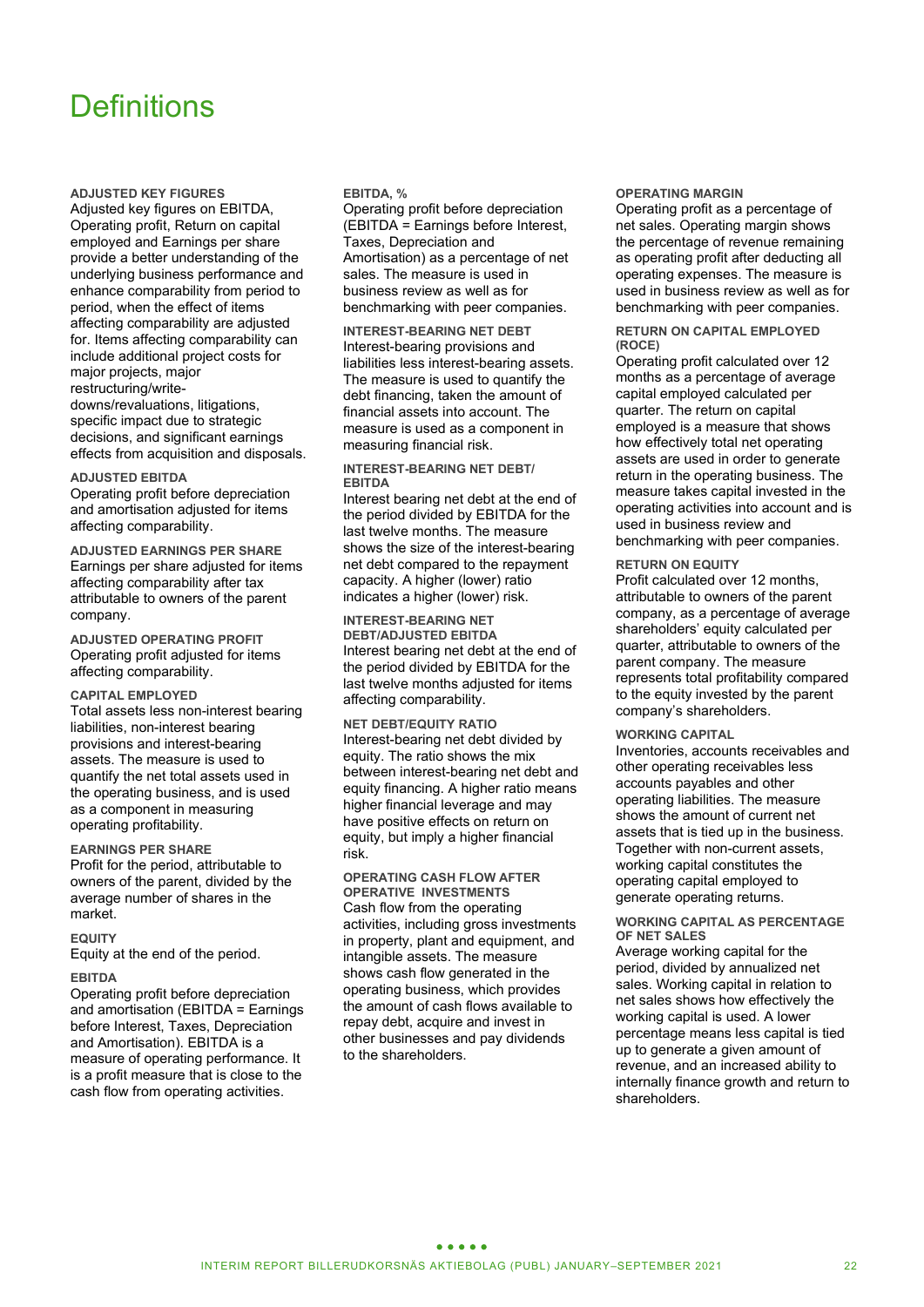# **Definitions**

**ADJUSTED KEY FIGURES**

Adjusted key figures on EBITDA, Operating profit, Return on capital employed and Earnings per share provide a better understanding of the underlying business performance and enhance comparability from period to period, when the effect of items affecting comparability are adjusted for. Items affecting comparability can include additional project costs for major projects, major restructuring/writedowns/revaluations, litigations, specific impact due to strategic decisions, and significant earnings effects from acquisition and disposals.

### **ADJUSTED EBITDA**

Operating profit before depreciation and amortisation adjusted for items affecting comparability.

**ADJUSTED EARNINGS PER SHARE** Earnings per share adjusted for items affecting comparability after tax attributable to owners of the parent company.

**ADJUSTED OPERATING PROFIT** Operating profit adjusted for items affecting comparability.

### **CAPITAL EMPLOYED**

Total assets less non-interest bearing liabilities, non-interest bearing provisions and interest-bearing assets. The measure is used to quantify the net total assets used in the operating business, and is used as a component in measuring operating profitability.

### **EARNINGS PER SHARE**

Profit for the period, attributable to owners of the parent, divided by the average number of shares in the market.

### **EQUITY**

Equity at the end of the period.

### **EBITDA**

Operating profit before depreciation and amortisation (EBITDA = Earnings before Interest, Taxes, Depreciation and Amortisation). EBITDA is a measure of operating performance. It is a profit measure that is close to the cash flow from operating activities.

### **EBITDA, %**

Operating profit before depreciation (EBITDA = Earnings before Interest, Taxes, Depreciation and Amortisation) as a percentage of net sales. The measure is used in business review as well as for benchmarking with peer companies.

**INTEREST-BEARING NET DEBT** Interest-bearing provisions and liabilities less interest-bearing assets. The measure is used to quantify the debt financing, taken the amount of financial assets into account. The measure is used as a component in measuring financial risk.

### **INTEREST-BEARING NET DEBT/ EBITDA**

Interest bearing net debt at the end of the period divided by EBITDA for the last twelve months. The measure shows the size of the interest-bearing net debt compared to the repayment capacity. A higher (lower) ratio indicates a higher (lower) risk.

**INTEREST-BEARING NET DEBT/ADJUSTED EBITDA** Interest bearing net debt at the end of the period divided by EBITDA for the last twelve months adjusted for items affecting comparability.

**NET DEBT/EQUITY RATIO** Interest-bearing net debt divided by equity. The ratio shows the mix between interest-bearing net debt and equity financing. A higher ratio means higher financial leverage and may have positive effects on return on equity, but imply a higher financial risk.

### **OPERATING CASH FLOW AFTER OPERATIVE INVESTMENTS**

Cash flow from the operating activities, including gross investments in property, plant and equipment, and intangible assets. The measure shows cash flow generated in the operating business, which provides the amount of cash flows available to repay debt, acquire and invest in other businesses and pay dividends to the shareholders.

### **OPERATING MARGIN**

Operating profit as a percentage of net sales. Operating margin shows the percentage of revenue remaining as operating profit after deducting all operating expenses. The measure is used in business review as well as for benchmarking with peer companies.

### **RETURN ON CAPITAL EMPLOYED (ROCE)**

Operating profit calculated over 12 months as a percentage of average capital employed calculated per quarter. The return on capital employed is a measure that shows how effectively total net operating assets are used in order to generate return in the operating business. The measure takes capital invested in the operating activities into account and is used in business review and benchmarking with peer companies.

### **RETURN ON EQUITY**

Profit calculated over 12 months, attributable to owners of the parent company, as a percentage of average shareholders' equity calculated per quarter, attributable to owners of the parent company. The measure represents total profitability compared to the equity invested by the parent company's shareholders.

### **WORKING CAPITAL**

Inventories, accounts receivables and other operating receivables less accounts payables and other operating liabilities. The measure shows the amount of current net assets that is tied up in the business. Together with non-current assets, working capital constitutes the operating capital employed to generate operating returns.

### **WORKING CAPITAL AS PERCENTAGE OF NET SALES**

Average working capital for the period, divided by annualized net sales. Working capital in relation to net sales shows how effectively the working capital is used. A lower percentage means less capital is tied up to generate a given amount of revenue, and an increased ability to internally finance growth and return to shareholders.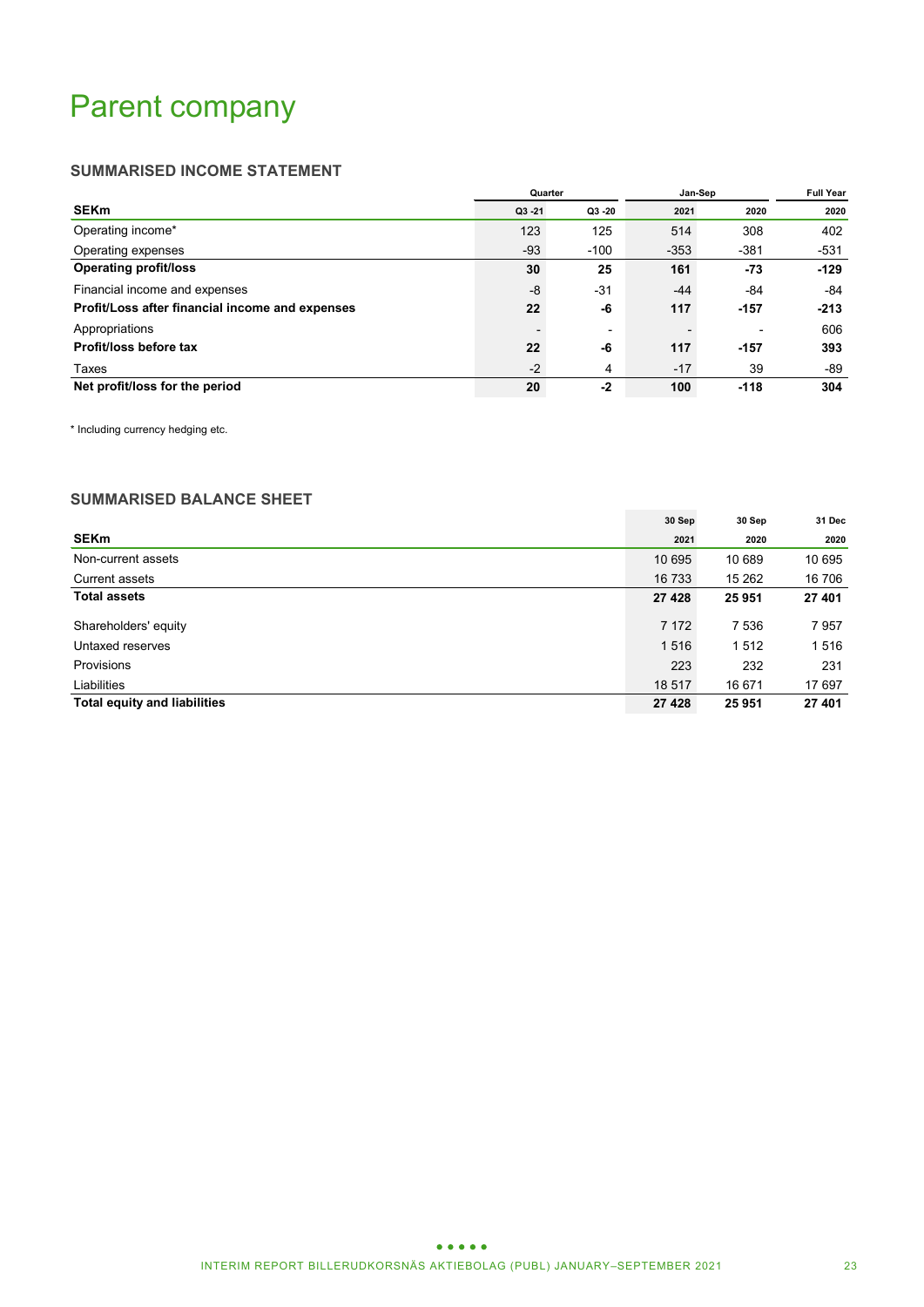# Parent company

### **SUMMARISED INCOME STATEMENT**

|                                                 | Quarter   |           | Jan-Sep | <b>Full Year</b>         |        |
|-------------------------------------------------|-----------|-----------|---------|--------------------------|--------|
| <b>SEKm</b>                                     | $Q3 - 21$ | $Q3 - 20$ | 2021    | 2020                     | 2020   |
| Operating income*                               | 123       | 125       | 514     | 308                      | 402    |
| Operating expenses                              | $-93$     | $-100$    | $-353$  | $-381$                   | $-531$ |
| <b>Operating profit/loss</b>                    | 30        | 25        | 161     | $-73$                    | $-129$ |
| Financial income and expenses                   | -8        | $-31$     | $-44$   | -84                      | -84    |
| Profit/Loss after financial income and expenses | 22        | -6        | 117     | $-157$                   | $-213$ |
| Appropriations                                  |           |           |         | $\overline{\phantom{0}}$ | 606    |
| Profit/loss before tax                          | 22        | -6        | 117     | $-157$                   | 393    |
| Taxes                                           | $-2$      | 4         | $-17$   | 39                       | -89    |
| Net profit/loss for the period                  | 20        | $-2$      | 100     | $-118$                   | 304    |

\* Including currency hedging etc.

### **SUMMARISED BALANCE SHEET**

|                                     | 30 Sep  | 30 Sep  | 31 Dec |
|-------------------------------------|---------|---------|--------|
| <b>SEKm</b>                         | 2021    | 2020    | 2020   |
| Non-current assets                  | 10 695  | 10 689  | 10 695 |
| Current assets                      | 16 733  | 15 262  | 16 706 |
| <b>Total assets</b>                 | 27 4 28 | 25951   | 27 401 |
| Shareholders' equity                | 7 1 7 2 | 7 5 3 6 | 7957   |
| Untaxed reserves                    | 1516    | 1512    | 1516   |
| <b>Provisions</b>                   | 223     | 232     | 231    |
| Liabilities                         | 18 517  | 16 671  | 17 697 |
| <b>Total equity and liabilities</b> | 27 4 28 | 25951   | 27 401 |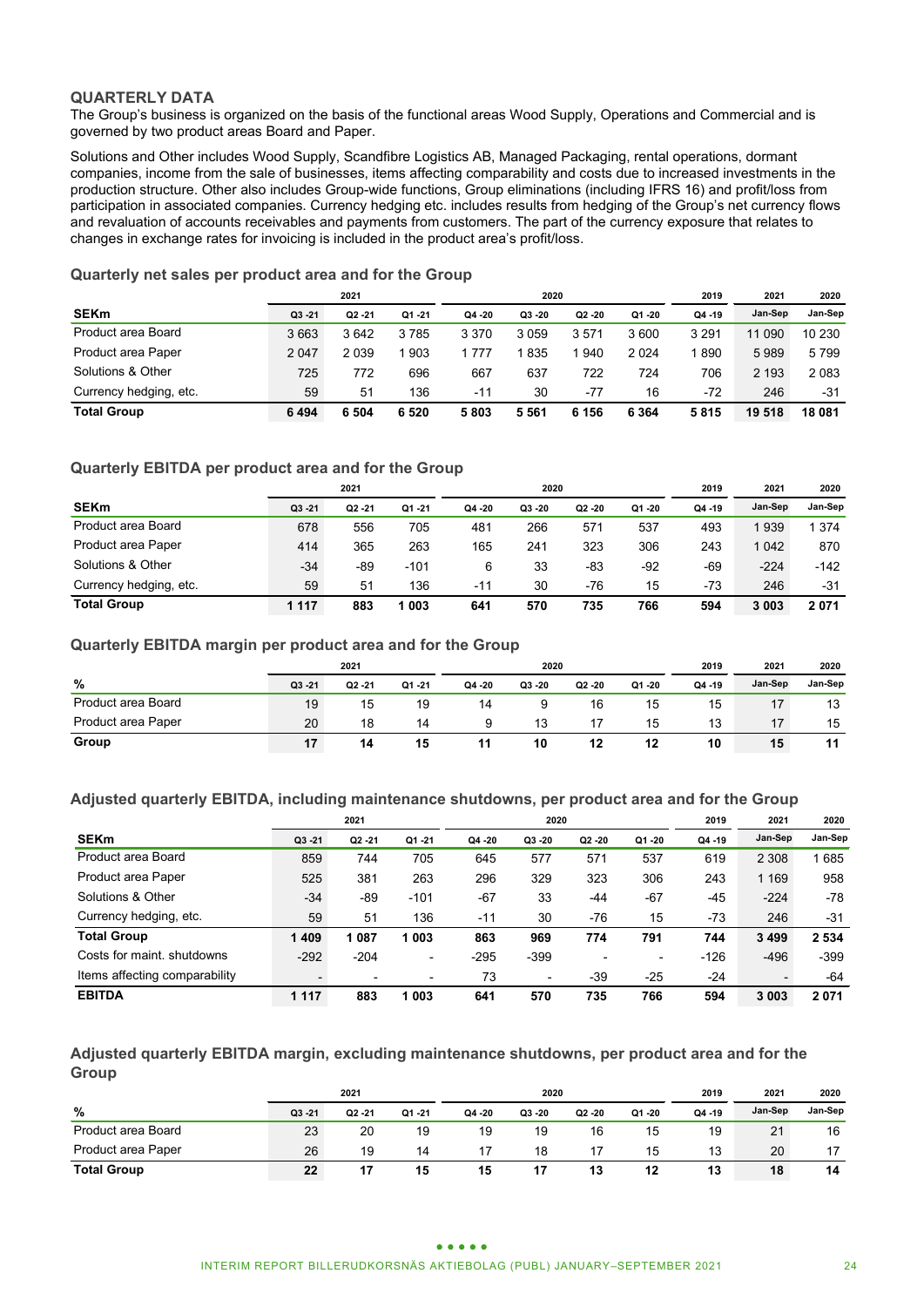### **QUARTERLY DATA**

The Group's business is organized on the basis of the functional areas Wood Supply, Operations and Commercial and is governed by two product areas Board and Paper.

Solutions and Other includes Wood Supply, Scandfibre Logistics AB, Managed Packaging, rental operations, dormant companies, income from the sale of businesses, items affecting comparability and costs due to increased investments in the production structure. Other also includes Group-wide functions, Group eliminations (including IFRS 16) and profit/loss from participation in associated companies. Currency hedging etc. includes results from hedging of the Group's net currency flows and revaluation of accounts receivables and payments from customers. The part of the currency exposure that relates to changes in exchange rates for invoicing is included in the product area's profit/loss.

### **Quarterly net sales per product area and for the Group**

|                        |           | 2021      |         | 2020    |           |           |         | 2019      | 2021    | 2020    |
|------------------------|-----------|-----------|---------|---------|-----------|-----------|---------|-----------|---------|---------|
| <b>SEKm</b>            | $Q3 - 21$ | $Q2 - 21$ | Q1 - 21 | Q4 -20  | $Q3 - 20$ | $Q2 - 20$ | Q1 -20  | $Q4 - 19$ | Jan-Sep | Jan-Sep |
| Product area Board     | 3663      | 3642      | 3785    | 3 3 7 0 | 3059      | 3571      | 3600    | 3 2 9 1   | 11 090  | 10 230  |
| Product area Paper     | 2 0 4 7   | 2 0 3 9   | 903     | 1 777   | 1 835     | 940       | 2024    | 890       | 5989    | 5799    |
| Solutions & Other      | 725       | 772       | 696     | 667     | 637       | 722       | 724     | 706       | 2 1 9 3 | 2 0 8 3 |
| Currency hedging, etc. | 59        | 51        | 136     | -11     | 30        | -77       | 16      | -72       | 246     | -31     |
| <b>Total Group</b>     | 6494      | 6 504     | 6 5 20  | 5803    | 5561      | 6 156     | 6 3 6 4 | 5815      | 19 518  | 18 081  |

### **Quarterly EBITDA per product area and for the Group**

|                        |           | 2021      |           | 2020   |           |           |           | 2019      | 2021    | 2020    |
|------------------------|-----------|-----------|-----------|--------|-----------|-----------|-----------|-----------|---------|---------|
| <b>SEKm</b>            | $Q3 - 21$ | $Q2 - 21$ | $Q1 - 21$ | Q4 -20 | $Q3 - 20$ | $Q2 - 20$ | $Q1 - 20$ | $Q4 - 19$ | Jan-Sep | Jan-Sep |
| Product area Board     | 678       | 556       | 705       | 481    | 266       | 571       | 537       | 493       | 1939    | 1 3 7 4 |
| Product area Paper     | 414       | 365       | 263       | 165    | 241       | 323       | 306       | 243       | 1042    | 870     |
| Solutions & Other      | $-34$     | -89       | $-101$    | 6      | 33        | -83       | $-92$     | -69       | $-224$  | $-142$  |
| Currency hedging, etc. | 59        | 51        | 136       | -11    | 30        | -76       | 15        | -73       | 246     | -31     |
| <b>Total Group</b>     | 1 1 1 7   | 883       | 1 003     | 641    | 570       | 735       | 766       | 594       | 3 003   | 2071    |

### **Quarterly EBITDA margin per product area and for the Group**

|                    | 2021  |           |           |           | 2020    |        |        |           | 2021    | 2020    |
|--------------------|-------|-----------|-----------|-----------|---------|--------|--------|-----------|---------|---------|
| %                  | Q3 21 | $Q2 - 21$ | $Q1 - 21$ | $Q4 - 20$ | Q3 - 20 | Q2 -20 | Q1 -20 | $Q4 - 19$ | Jan-Sep | Jan-Sep |
| Product area Board | 19    | 15        | 19        | 14        |         | 16     | 15     | 15        |         | 13      |
| Product area Paper | 20    | 18        | 14        | a         | 13      |        | 15     | 13        | 17      | 15      |
| Group              | 17    | 14        | 15        | 11        | 10      | 12     | 12     | 10        | 15      | 11      |

### **Adjusted quarterly EBITDA, including maintenance shutdowns, per product area and for the Group**

|                               | 2021    |                          |           |         | 2020                     |                          | 2019                     | 2021      | 2020                     |         |
|-------------------------------|---------|--------------------------|-----------|---------|--------------------------|--------------------------|--------------------------|-----------|--------------------------|---------|
| <b>SEKm</b>                   | Q3 21   | $Q2 - 21$                | $Q1 - 21$ | Q4 - 20 | Q3 - 20                  | $Q2 - 20$                | $Q1 - 20$                | $Q4 - 19$ | Jan-Sep                  | Jan-Sep |
| Product area Board            | 859     | 744                      | 705       | 645     | 577                      | 571                      | 537                      | 619       | 2 3 0 8                  | 685     |
| Product area Paper            | 525     | 381                      | 263       | 296     | 329                      | 323                      | 306                      | 243       | 1 1 6 9                  | 958     |
| Solutions & Other             | $-34$   | $-89$                    | $-101$    | $-67$   | 33                       | -44                      | $-67$                    | $-45$     | $-224$                   | -78     |
| Currency hedging, etc.        | 59      | 51                       | 136       | $-11$   | 30                       | -76                      | 15                       | $-73$     | 246                      | $-31$   |
| <b>Total Group</b>            | 1409    | 087                      | l 003     | 863     | 969                      | 774                      | 791                      | 744       | 3 4 9 9                  | 2 5 3 4 |
| Costs for maint, shutdowns    | $-292$  | $-204$                   | ٠         | $-295$  | $-399$                   | $\overline{\phantom{0}}$ | $\overline{\phantom{a}}$ | $-126$    | $-496$                   | $-399$  |
| Items affecting comparability |         | $\overline{\phantom{a}}$ | ۰         | 73      | $\overline{\phantom{a}}$ | $-39$                    | $-25$                    | $-24$     | $\overline{\phantom{a}}$ | $-64$   |
| <b>EBITDA</b>                 | 1 1 1 7 | 883                      | 1 003     | 641     | 570                      | 735                      | 766                      | 594       | 3 0 0 3                  | 2071    |

**Adjusted quarterly EBITDA margin, excluding maintenance shutdowns, per product area and for the Group**

|                           | 2021  |           |       | 2020      |         |           |           | 2019    | 2021    | 2020    |
|---------------------------|-------|-----------|-------|-----------|---------|-----------|-----------|---------|---------|---------|
| %                         | Q3 21 | $Q2 - 21$ | Q1 21 | $Q4 - 20$ | Q3 - 20 | $Q2 - 20$ | $Q1 - 20$ | Q4 - 19 | Jan-Sep | Jan-Sep |
| Product area Board        | 23    | 20        | 19    | 19        | 19      | 16        | 15        | 19      | 21      | 16      |
| <b>Product area Paper</b> | 26    | 19        | 14    |           | 18      |           | 15        | 13      | 20      | 17      |
| <b>Total Group</b>        | 22    | 17        | 15    | 15        |         | 13        | 12        | 13      | 18      | 14      |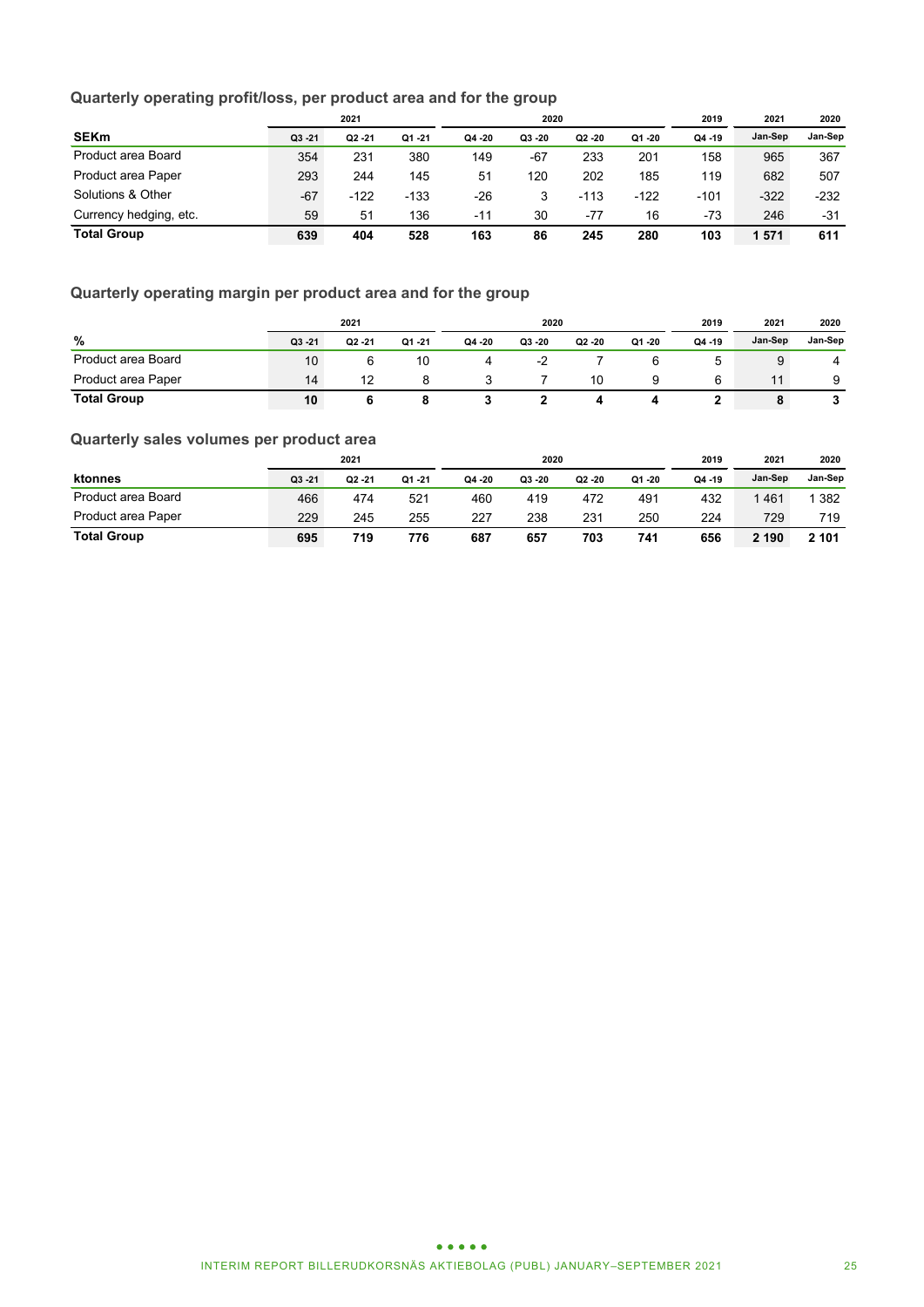### **Quarterly operating profit/loss, per product area and for the group**

|                           | 2021      |           |           | 2020      |       |           |           | 2019    | 2021    | 2020    |
|---------------------------|-----------|-----------|-----------|-----------|-------|-----------|-----------|---------|---------|---------|
| <b>SEKm</b>               | $Q3 - 21$ | $Q2 - 21$ | $Q1 - 21$ | $Q4 - 20$ | Q3 20 | $Q2 - 20$ | $Q1 - 20$ | Q4 - 19 | Jan-Sep | Jan-Sep |
| Product area Board        | 354       | 231       | 380       | 149       | $-67$ | 233       | 201       | 158     | 965     | 367     |
| <b>Product area Paper</b> | 293       | 244       | 145       | 51        | 120   | 202       | 185       | 119     | 682     | 507     |
| Solutions & Other         | $-67$     | $-122$    | $-133$    | $-26$     |       | $-113$    | $-122$    | $-101$  | $-322$  | $-232$  |
| Currency hedging, etc.    | 59        | 51        | 136       | -11       | 30    | $-77$     | 16        | -73     | 246     | $-31$   |
| <b>Total Group</b>        | 639       | 404       | 528       | 163       | 86    | 245       | 280       | 103     | 571     | 611     |

### **Quarterly operating margin per product area and for the group**

|                    | 2021    |           |           | 2020   |         |         |           | 2019      | 2021    | 2020    |
|--------------------|---------|-----------|-----------|--------|---------|---------|-----------|-----------|---------|---------|
| %                  | Q3 - 21 | $Q2 - 21$ | $Q1 - 21$ | Q4 -20 | Q3 - 20 | Q2 - 20 | $Q1 - 20$ | $Q4 - 19$ | Jan-Sep | Jan-Sep |
| Product area Board | 10      |           | 10        | 4      | -2      |         |           |           |         | 4       |
| Product area Paper | 14      | 12        | 8         |        |         | 10      |           |           | 11      | 9       |
| <b>Total Group</b> | 10      |           |           |        |         |         |           |           | 8       | ◡       |

### **Quarterly sales volumes per product area**

|                    | 2021      |           |           |        | 2020    |           | 2019   | 2021      | 2020    |         |
|--------------------|-----------|-----------|-----------|--------|---------|-----------|--------|-----------|---------|---------|
| ktonnes            | $Q3 - 21$ | $Q2 - 21$ | $Q1 - 21$ | Q4 -20 | Q3 - 20 | $Q2 - 20$ | Q1 -20 | $Q4 - 19$ | Jan-Sep | Jan-Sep |
| Product area Board | 466       | 474       | 521       | 460    | 419     | 472       | 491    | 432       | 461     | 1 382   |
| Product area Paper | 229       | 245       | 255       | 227    | 238     | 231       | 250    | 224       | 729     | 719     |
| <b>Total Group</b> | 695       | 719       | 776       | 687    | 657     | 703       | 741    | 656       | 2 190   | 2 101   |